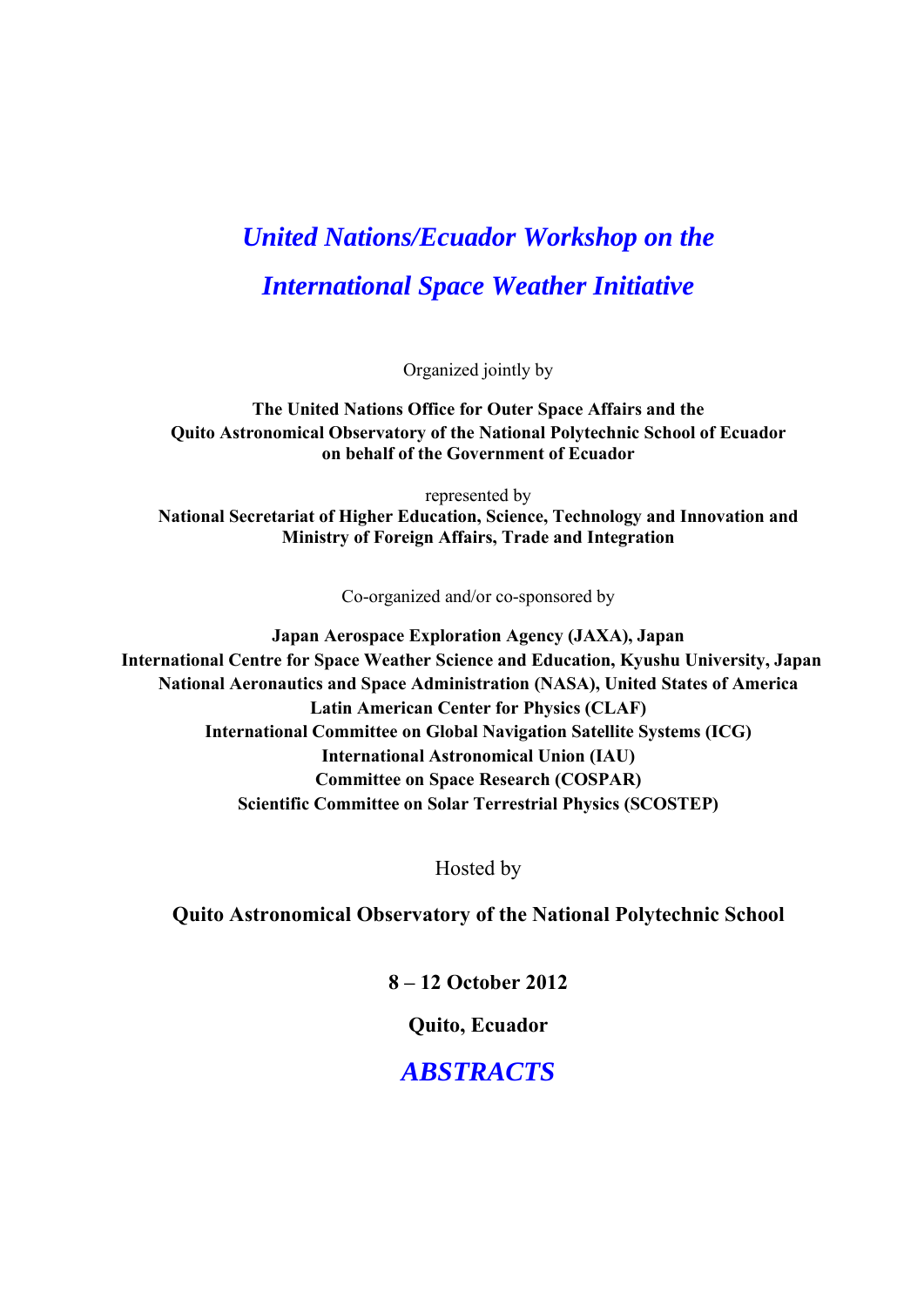# *United Nations/Ecuador Workshop on the International Space Weather Initiative*

Organized jointly by

**The United Nations Office for Outer Space Affairs and the Quito Astronomical Observatory of the National Polytechnic School of Ecuador on behalf of the Government of Ecuador** 

represented by **National Secretariat of Higher Education, Science, Technology and Innovation and Ministry of Foreign Affairs, Trade and Integration** 

Co-organized and/or co-sponsored by

**Japan Aerospace Exploration Agency (JAXA), Japan International Centre for Space Weather Science and Education, Kyushu University, Japan National Aeronautics and Space Administration (NASA), United States of America Latin American Center for Physics (CLAF) International Committee on Global Navigation Satellite Systems (ICG) International Astronomical Union (IAU) Committee on Space Research (COSPAR) Scientific Committee on Solar Terrestrial Physics (SCOSTEP)** 

Hosted by

**Quito Astronomical Observatory of the National Polytechnic School** 

**8 – 12 October 2012** 

**Quito, Ecuador** 

*ABSTRACTS*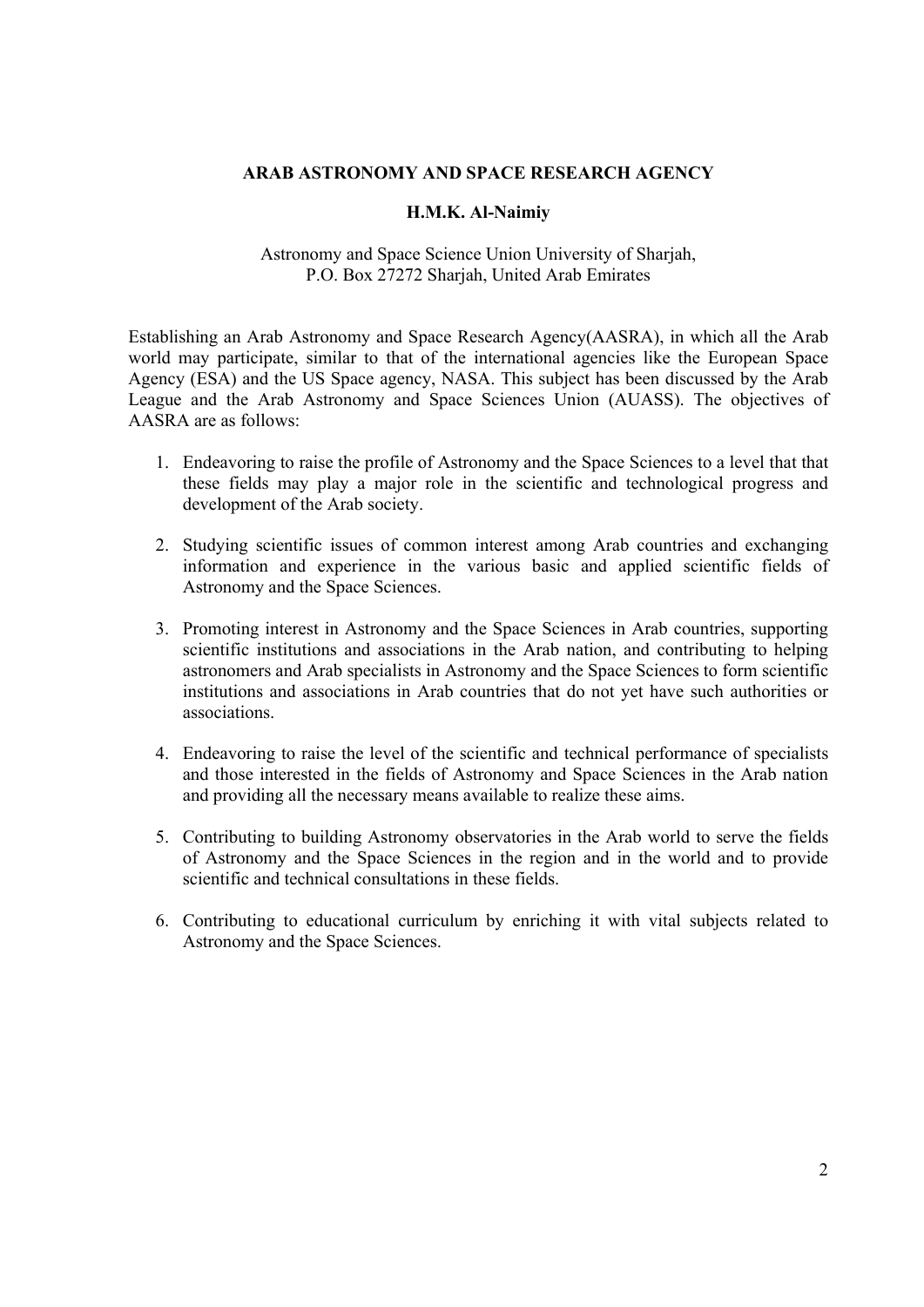## **ARAB ASTRONOMY AND SPACE RESEARCH AGENCY**

## **H.M.K. Al-Naimiy**

Astronomy and Space Science Union University of Sharjah, P.O. Box 27272 Sharjah, United Arab Emirates

Establishing an Arab Astronomy and Space Research Agency(AASRA), in which all the Arab world may participate, similar to that of the international agencies like the European Space Agency (ESA) and the US Space agency, NASA. This subject has been discussed by the Arab League and the Arab Astronomy and Space Sciences Union (AUASS). The objectives of AASRA are as follows:

- 1. Endeavoring to raise the profile of Astronomy and the Space Sciences to a level that that these fields may play a major role in the scientific and technological progress and development of the Arab society.
- 2. Studying scientific issues of common interest among Arab countries and exchanging information and experience in the various basic and applied scientific fields of Astronomy and the Space Sciences.
- 3. Promoting interest in Astronomy and the Space Sciences in Arab countries, supporting scientific institutions and associations in the Arab nation, and contributing to helping astronomers and Arab specialists in Astronomy and the Space Sciences to form scientific institutions and associations in Arab countries that do not yet have such authorities or associations.
- 4. Endeavoring to raise the level of the scientific and technical performance of specialists and those interested in the fields of Astronomy and Space Sciences in the Arab nation and providing all the necessary means available to realize these aims.
- 5. Contributing to building Astronomy observatories in the Arab world to serve the fields of Astronomy and the Space Sciences in the region and in the world and to provide scientific and technical consultations in these fields.
- 6. Contributing to educational curriculum by enriching it with vital subjects related to Astronomy and the Space Sciences.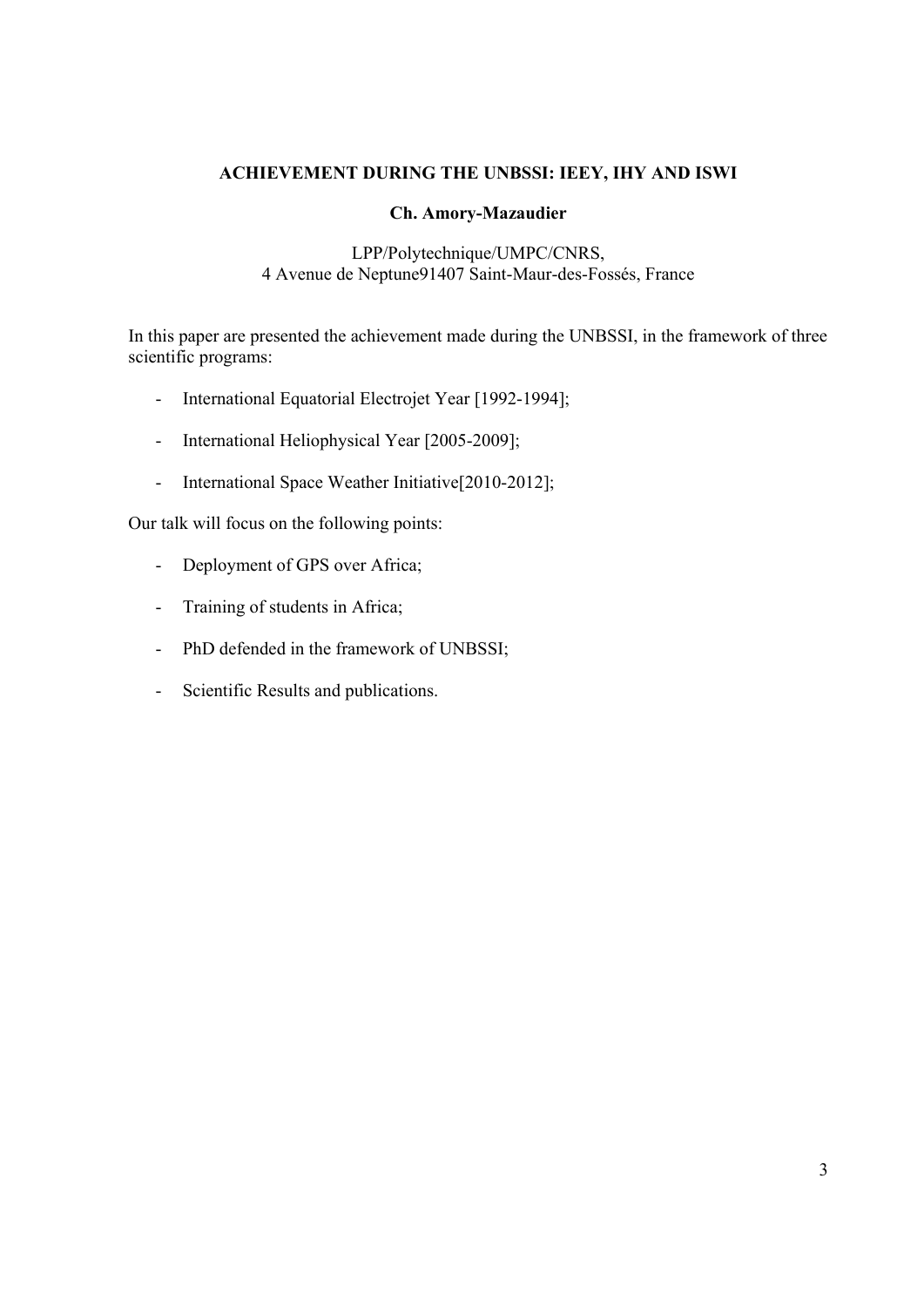# **ACHIEVEMENT DURING THE UNBSSI: IEEY, IHY AND ISWI**

## **Ch. Amory-Mazaudier**

## LPP/Polytechnique/UMPC/CNRS, 4 Avenue de Neptune91407 Saint-Maur-des-Fossés, France

In this paper are presented the achievement made during the UNBSSI, in the framework of three scientific programs:

- International Equatorial Electrojet Year [1992-1994];
- International Heliophysical Year [2005-2009];
- International Space Weather Initiative<sup>[2010-2012]</sup>;

Our talk will focus on the following points:

- Deployment of GPS over Africa;
- Training of students in Africa;
- PhD defended in the framework of UNBSSI;
- Scientific Results and publications.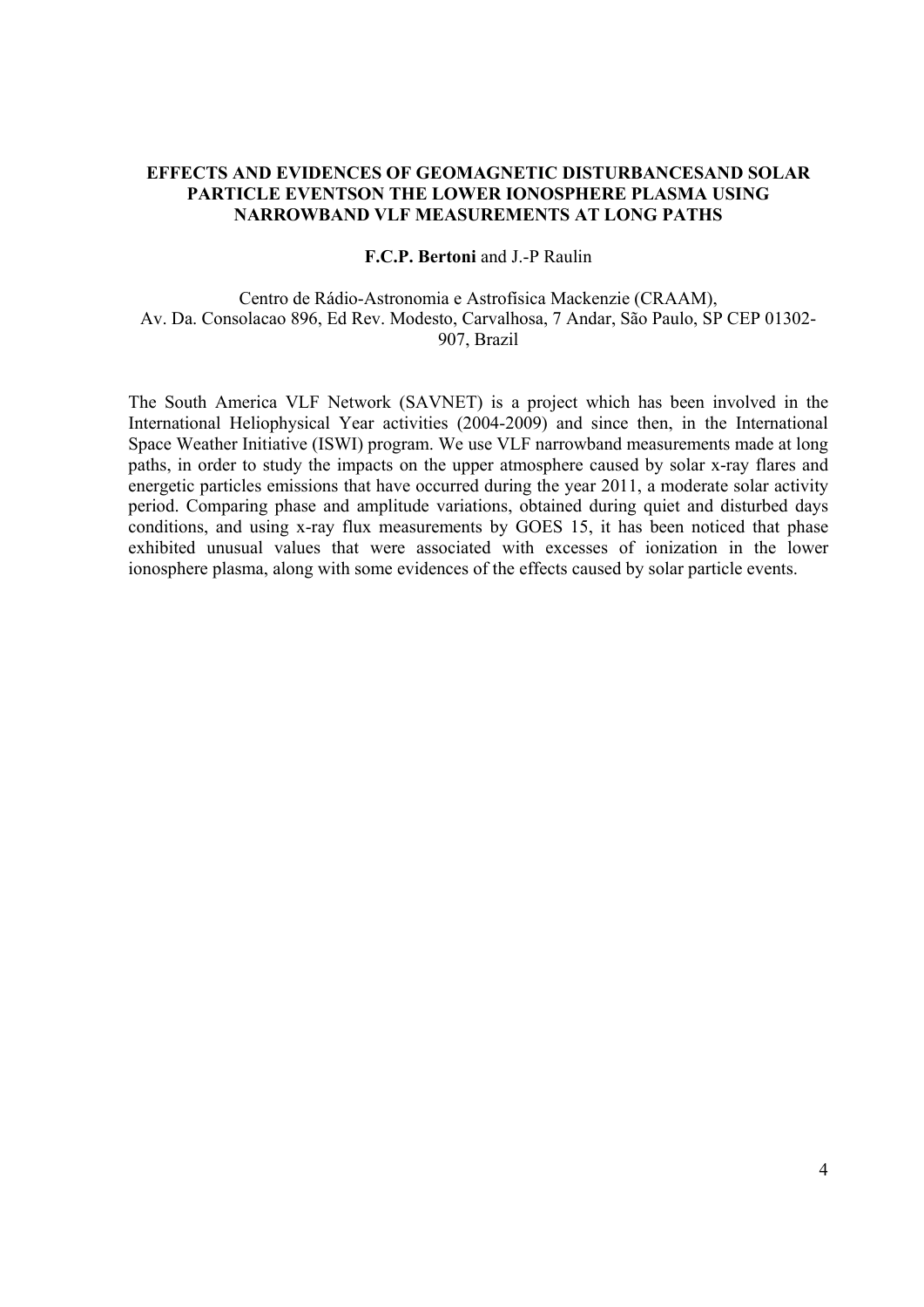## **EFFECTS AND EVIDENCES OF GEOMAGNETIC DISTURBANCESAND SOLAR PARTICLE EVENTSON THE LOWER IONOSPHERE PLASMA USING NARROWBAND VLF MEASUREMENTS AT LONG PATHS**

**F.C.P. Bertoni** and J.-P Raulin

Centro de Rádio-Astronomia e Astrofísica Mackenzie (CRAAM), Av. Da. Consolacao 896, Ed Rev. Modesto, Carvalhosa, 7 Andar, São Paulo, SP CEP 01302- 907, Brazil

The South America VLF Network (SAVNET) is a project which has been involved in the International Heliophysical Year activities (2004-2009) and since then, in the International Space Weather Initiative (ISWI) program. We use VLF narrowband measurements made at long paths, in order to study the impacts on the upper atmosphere caused by solar x-ray flares and energetic particles emissions that have occurred during the year 2011, a moderate solar activity period. Comparing phase and amplitude variations, obtained during quiet and disturbed days conditions, and using x-ray flux measurements by GOES 15, it has been noticed that phase exhibited unusual values that were associated with excesses of ionization in the lower ionosphere plasma, along with some evidences of the effects caused by solar particle events.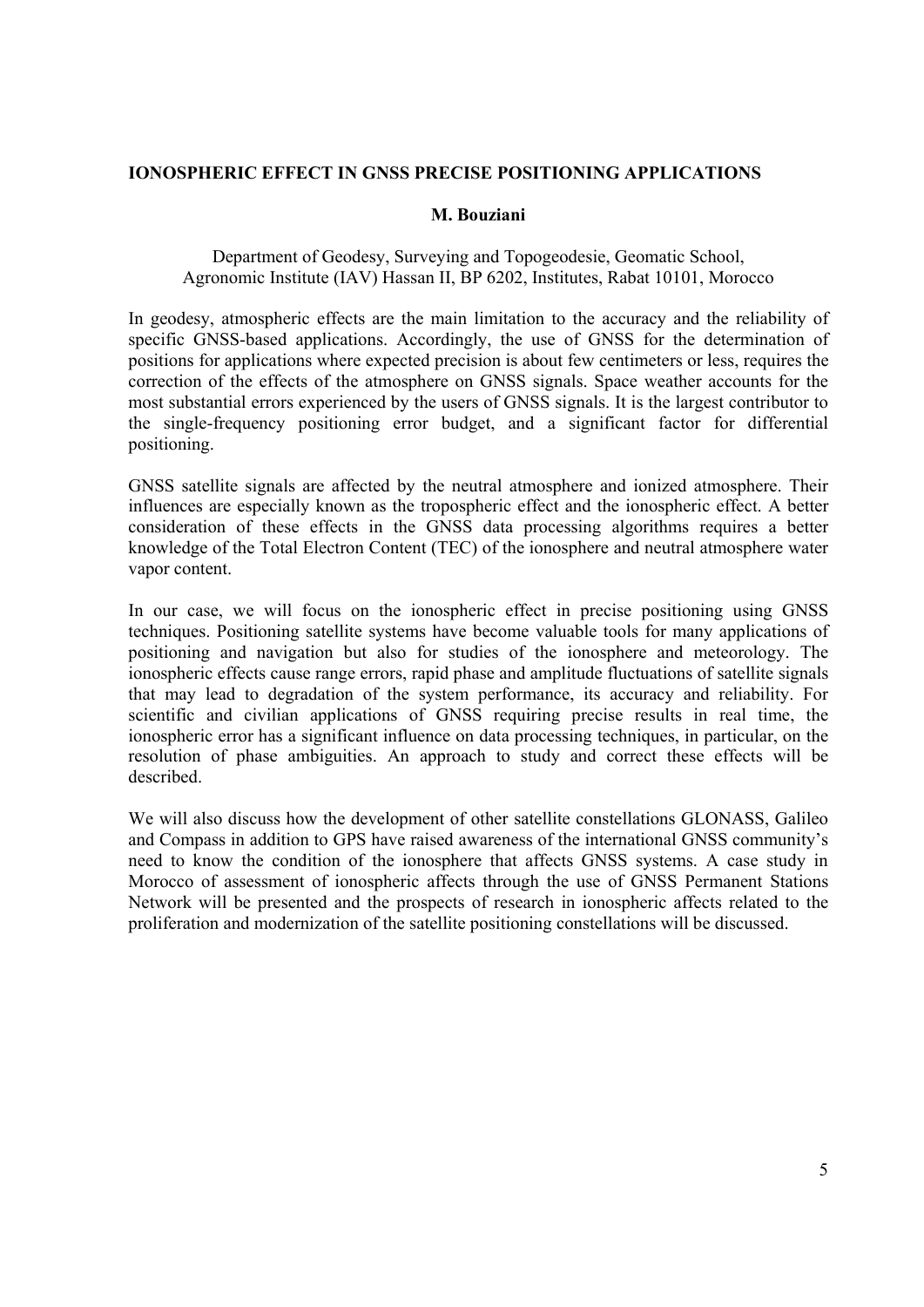## **IONOSPHERIC EFFECT IN GNSS PRECISE POSITIONING APPLICATIONS**

## **M. Bouziani**

## Department of Geodesy, Surveying and Topogeodesie, Geomatic School, Agronomic Institute (IAV) Hassan II, BP 6202, Institutes, Rabat 10101, Morocco

In geodesy, atmospheric effects are the main limitation to the accuracy and the reliability of specific GNSS-based applications. Accordingly, the use of GNSS for the determination of positions for applications where expected precision is about few centimeters or less, requires the correction of the effects of the atmosphere on GNSS signals. Space weather accounts for the most substantial errors experienced by the users of GNSS signals. It is the largest contributor to the single-frequency positioning error budget, and a significant factor for differential positioning.

GNSS satellite signals are affected by the neutral atmosphere and ionized atmosphere. Their influences are especially known as the tropospheric effect and the ionospheric effect. A better consideration of these effects in the GNSS data processing algorithms requires a better knowledge of the Total Electron Content (TEC) of the ionosphere and neutral atmosphere water vapor content.

In our case, we will focus on the ionospheric effect in precise positioning using GNSS techniques. Positioning satellite systems have become valuable tools for many applications of positioning and navigation but also for studies of the ionosphere and meteorology. The ionospheric effects cause range errors, rapid phase and amplitude fluctuations of satellite signals that may lead to degradation of the system performance, its accuracy and reliability. For scientific and civilian applications of GNSS requiring precise results in real time, the ionospheric error has a significant influence on data processing techniques, in particular, on the resolution of phase ambiguities. An approach to study and correct these effects will be described.

We will also discuss how the development of other satellite constellations GLONASS, Galileo and Compass in addition to GPS have raised awareness of the international GNSS community's need to know the condition of the ionosphere that affects GNSS systems. A case study in Morocco of assessment of ionospheric affects through the use of GNSS Permanent Stations Network will be presented and the prospects of research in ionospheric affects related to the proliferation and modernization of the satellite positioning constellations will be discussed.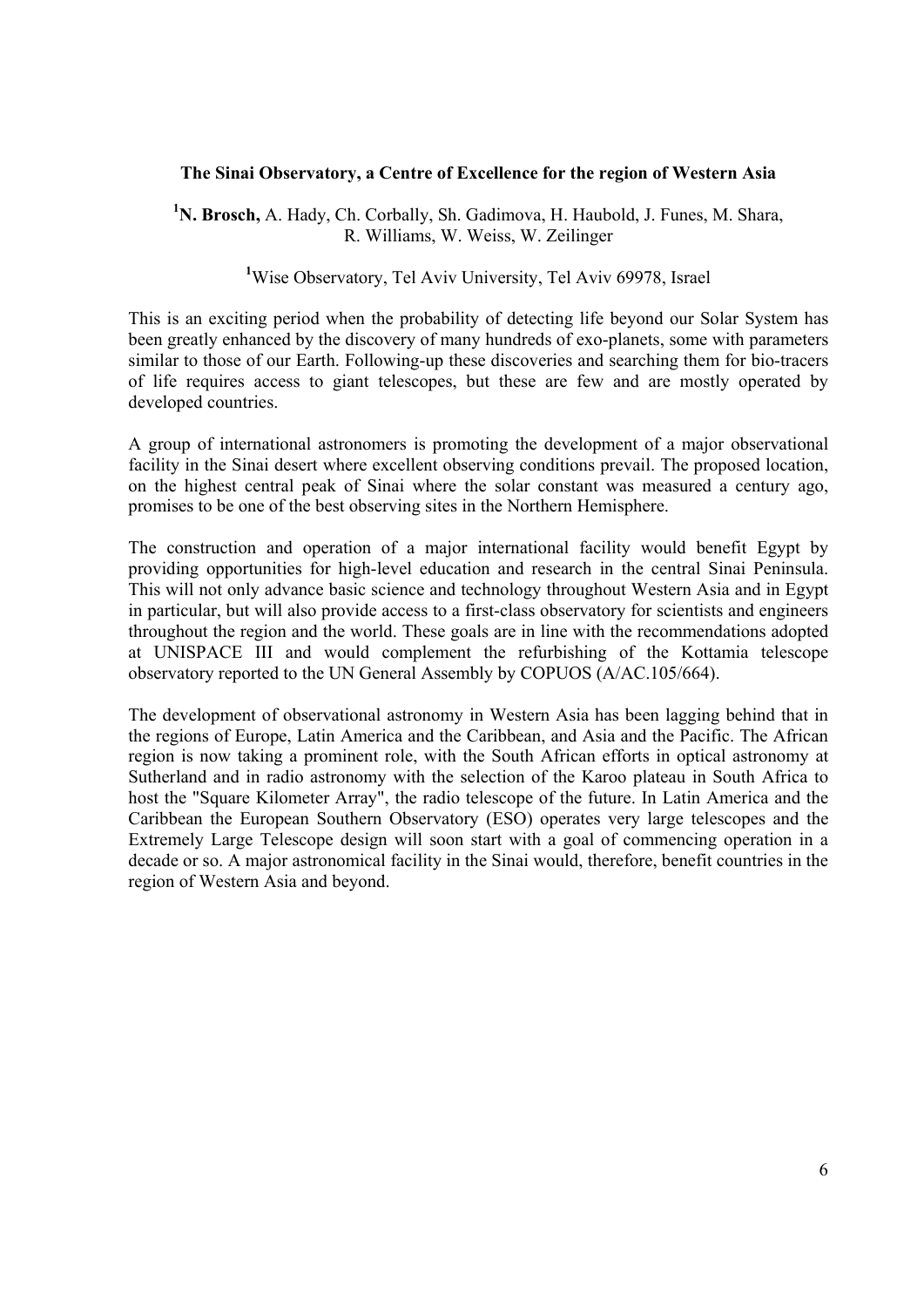## **The Sinai Observatory, a Centre of Excellence for the region of Western Asia**

**1 N. Brosch,** A. Hady, Ch. Corbally, Sh. Gadimova, H. Haubold, J. Funes, M. Shara, R. Williams, W. Weiss, W. Zeilinger

<sup>1</sup>Wise Observatory, Tel Aviv University, Tel Aviv 69978, Israel

This is an exciting period when the probability of detecting life beyond our Solar System has been greatly enhanced by the discovery of many hundreds of exo-planets, some with parameters similar to those of our Earth. Following-up these discoveries and searching them for bio-tracers of life requires access to giant telescopes, but these are few and are mostly operated by developed countries.

A group of international astronomers is promoting the development of a major observational facility in the Sinai desert where excellent observing conditions prevail. The proposed location, on the highest central peak of Sinai where the solar constant was measured a century ago, promises to be one of the best observing sites in the Northern Hemisphere.

The construction and operation of a major international facility would benefit Egypt by providing opportunities for high-level education and research in the central Sinai Peninsula. This will not only advance basic science and technology throughout Western Asia and in Egypt in particular, but will also provide access to a first-class observatory for scientists and engineers throughout the region and the world. These goals are in line with the recommendations adopted at UNISPACE III and would complement the refurbishing of the Kottamia telescope observatory reported to the UN General Assembly by COPUOS (A/AC.105/664).

The development of observational astronomy in Western Asia has been lagging behind that in the regions of Europe, Latin America and the Caribbean, and Asia and the Pacific. The African region is now taking a prominent role, with the South African efforts in optical astronomy at Sutherland and in radio astronomy with the selection of the Karoo plateau in South Africa to host the "Square Kilometer Array", the radio telescope of the future. In Latin America and the Caribbean the European Southern Observatory (ESO) operates very large telescopes and the Extremely Large Telescope design will soon start with a goal of commencing operation in a decade or so. A major astronomical facility in the Sinai would, therefore, benefit countries in the region of Western Asia and beyond.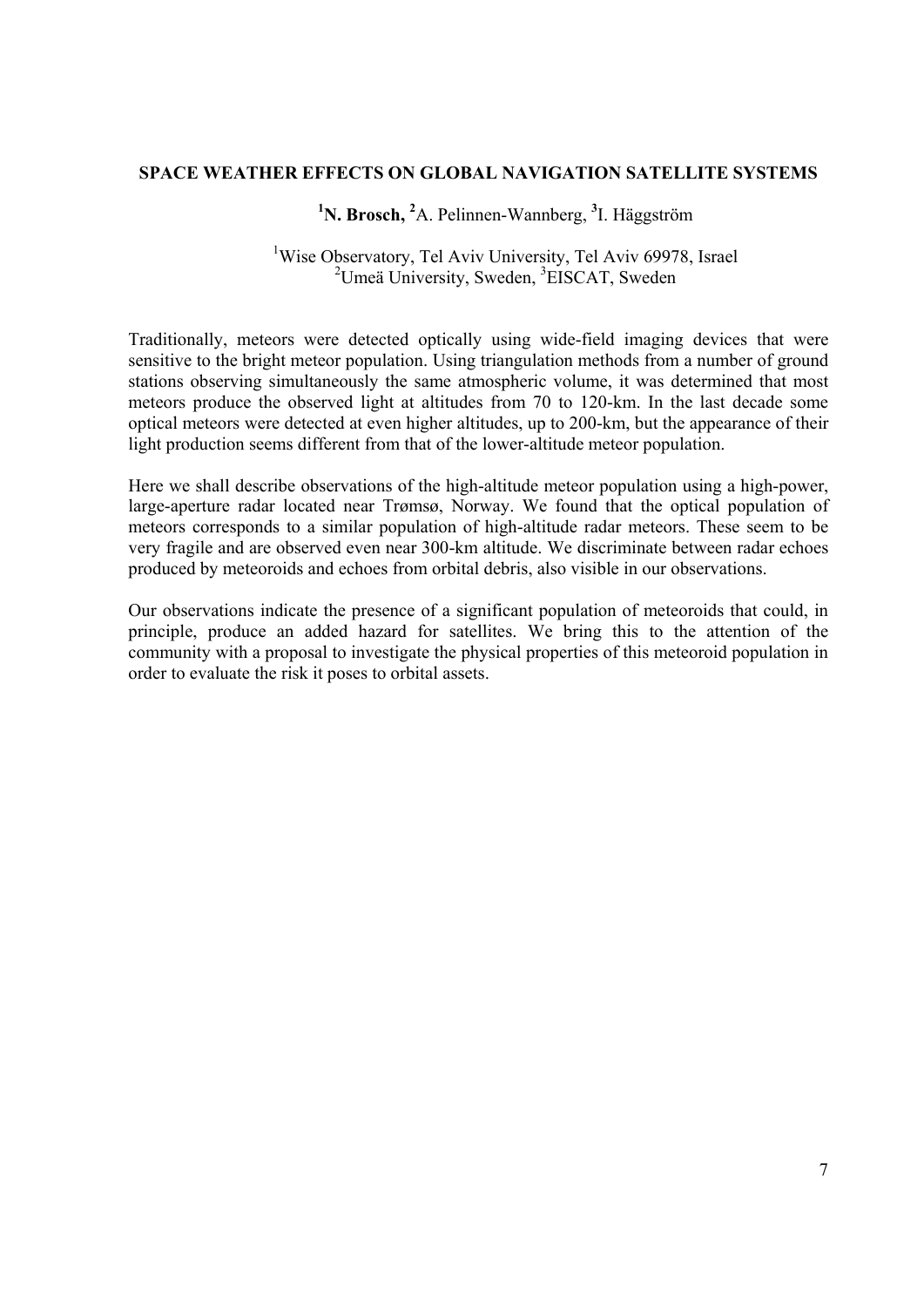## **SPACE WEATHER EFFECTS ON GLOBAL NAVIGATION SATELLITE SYSTEMS**

# <sup>1</sup>N. Brosch, <sup>2</sup>A. Pelinnen-Wannberg, <sup>3</sup>I. Häggström

# <sup>1</sup>Wise Observatory, Tel Aviv University, Tel Aviv 69978, Israel <sup>2</sup>Umeä University, Sweden, <sup>3</sup>EISCAT, Sweden

Traditionally, meteors were detected optically using wide-field imaging devices that were sensitive to the bright meteor population. Using triangulation methods from a number of ground stations observing simultaneously the same atmospheric volume, it was determined that most meteors produce the observed light at altitudes from 70 to 120-km. In the last decade some optical meteors were detected at even higher altitudes, up to 200-km, but the appearance of their light production seems different from that of the lower-altitude meteor population.

Here we shall describe observations of the high-altitude meteor population using a high-power, large-aperture radar located near Trømsø, Norway. We found that the optical population of meteors corresponds to a similar population of high-altitude radar meteors. These seem to be very fragile and are observed even near 300-km altitude. We discriminate between radar echoes produced by meteoroids and echoes from orbital debris, also visible in our observations.

Our observations indicate the presence of a significant population of meteoroids that could, in principle, produce an added hazard for satellites. We bring this to the attention of the community with a proposal to investigate the physical properties of this meteoroid population in order to evaluate the risk it poses to orbital assets.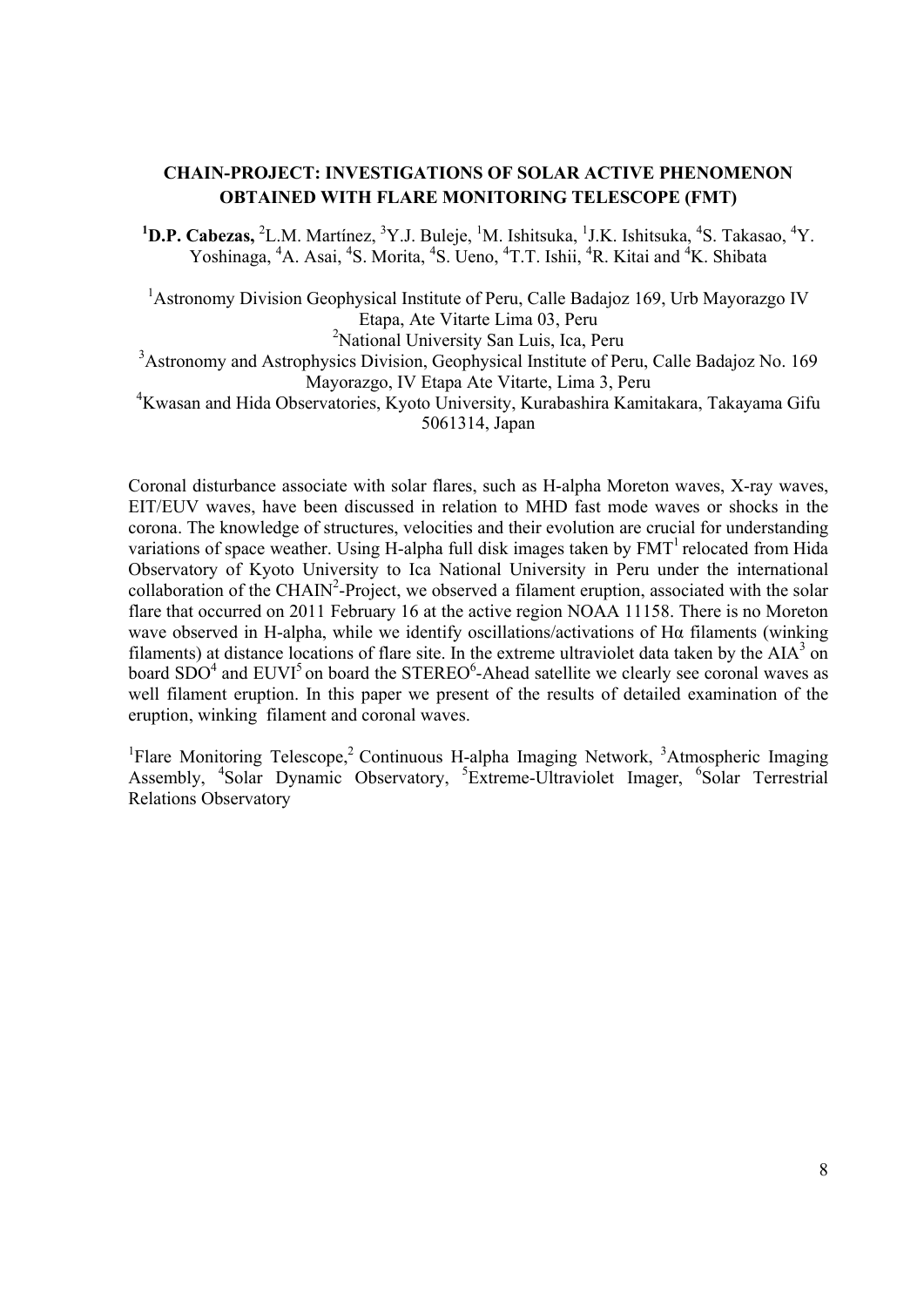# **CHAIN-PROJECT: INVESTIGATIONS OF SOLAR ACTIVE PHENOMENON OBTAINED WITH FLARE MONITORING TELESCOPE (FMT)**

<sup>1</sup>D.P. Cabezas, <sup>2</sup>L.M. Martínez, <sup>3</sup>Y.J. Buleje, <sup>1</sup>M. Ishitsuka, <sup>1</sup>J.K. Ishitsuka, <sup>4</sup>S. Takasao, <sup>4</sup>Y. Yoshinaga, <sup>4</sup>A. Asai, <sup>4</sup>S. Morita, <sup>4</sup>S. Ueno, <sup>4</sup>T.T. Ishii, <sup>4</sup>R. Kitai and <sup>4</sup>K. Shibata

<sup>1</sup> Astronomy Division Geophysical Institute of Peru, Calle Badajoz 169, Urb Mayorazgo IV Etapa, Ate Vitarte Lima 03, Peru <sup>2</sup>National University San Luis, Ica, Peru <sup>3</sup> Astronomy and Astrophysics Division, Geophysical Institute of Peru, Calle Badajoz No. 169

Mayorazgo, IV Etapa Ate Vitarte, Lima 3, Peru

4 Kwasan and Hida Observatories, Kyoto University, Kurabashira Kamitakara, Takayama Gifu 5061314, Japan

Coronal disturbance associate with solar flares, such as H-alpha Moreton waves, X-ray waves, EIT/EUV waves, have been discussed in relation to MHD fast mode waves or shocks in the corona. The knowledge of structures, velocities and their evolution are crucial for understanding variations of space weather. Using H-alpha full disk images taken by  $FMT<sup>1</sup>$  relocated from Hida Observatory of Kyoto University to Ica National University in Peru under the international collaboration of the CHAIN<sup>2</sup>-Project, we observed a filament eruption, associated with the solar flare that occurred on 2011 February 16 at the active region NOAA 11158. There is no Moreton wave observed in H-alpha, while we identify oscillations/activations of Hα filaments (winking filaments) at distance locations of flare site. In the extreme ultraviolet data taken by the  $AIA<sup>3</sup>$  on board  $SDO<sup>4</sup>$  and  $EUVI<sup>5</sup>$  on board the STEREO<sup>6</sup>-Ahead satellite we clearly see coronal waves as well filament eruption. In this paper we present of the results of detailed examination of the eruption, winking filament and coronal waves.

<sup>1</sup>Flare Monitoring Telescope,<sup>2</sup> Continuous H-alpha Imaging Network,  $3$ Atmospheric Imaging Assembly, <sup>4</sup>Solar Dynamic Observatory, <sup>5</sup>Extreme-Ultraviolet Imager, <sup>6</sup>Solar Terrestrial Relations Observatory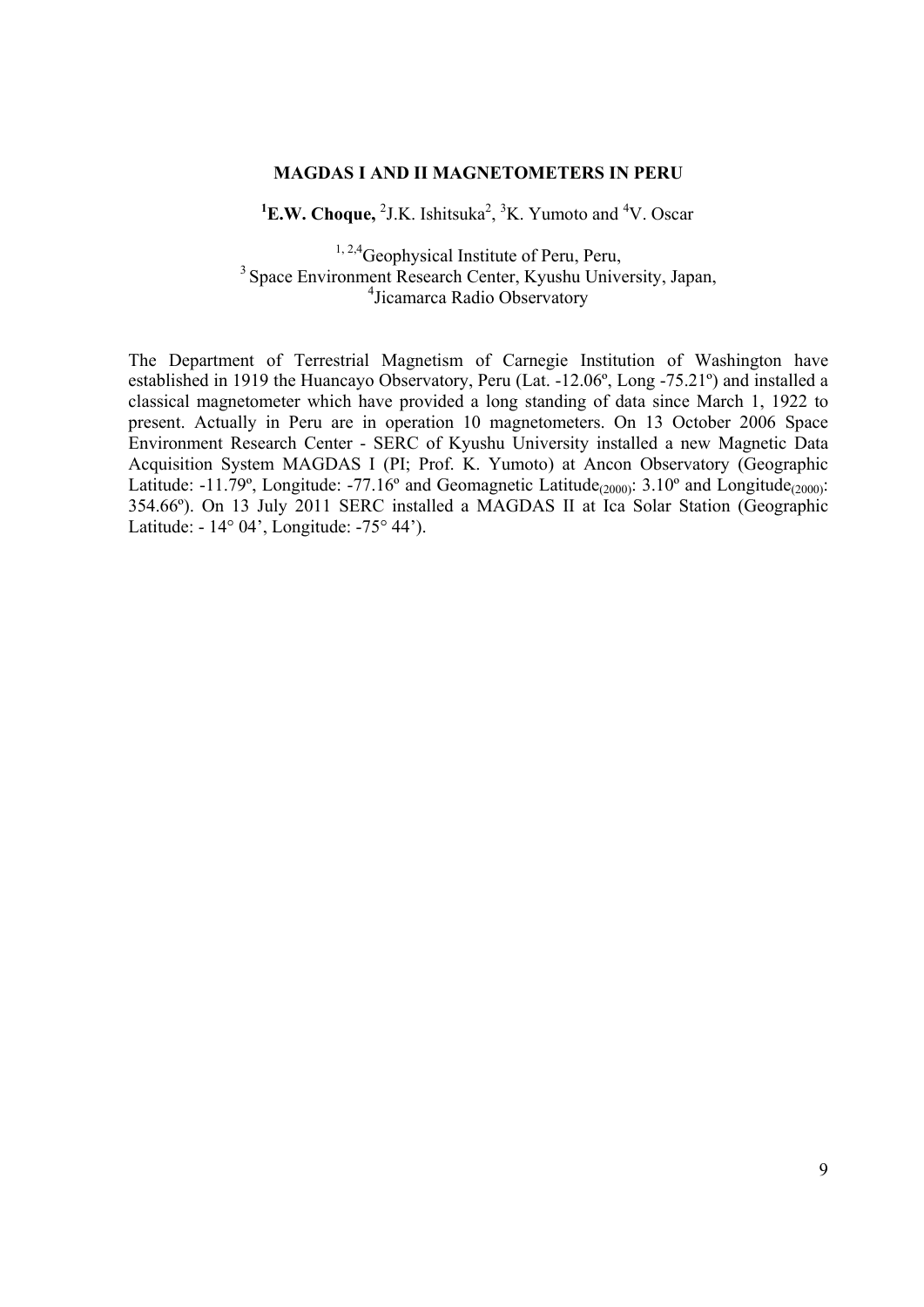## **MAGDAS I AND II MAGNETOMETERS IN PERU**

 ${}^{1}$ **E.W. Choque,** <sup>2</sup>J.K. Ishitsuka<sup>2</sup>, <sup>3</sup>K. Yumoto and <sup>4</sup>V. Oscar

<sup>1, 2,4</sup>Geophysical Institute of Peru, Peru, 3 Space Environment Research Center, Kyushu University, Japan, 4 Jicamarca Radio Observatory

The Department of Terrestrial Magnetism of Carnegie Institution of Washington have established in 1919 the Huancayo Observatory, Peru (Lat. -12.06º, Long -75.21º) and installed a classical magnetometer which have provided a long standing of data since March 1, 1922 to present. Actually in Peru are in operation 10 magnetometers. On 13 October 2006 Space Environment Research Center - SERC of Kyushu University installed a new Magnetic Data Acquisition System MAGDAS I (PI; Prof. K. Yumoto) at Ancon Observatory (Geographic Latitude:  $-11.79^\circ$ , Longitude:  $-77.16^\circ$  and Geomagnetic Latitude<sub>(2000)</sub>:  $3.10^\circ$  and Longitude<sub>(2000)</sub>: 354.66º). On 13 July 2011 SERC installed a MAGDAS II at Ica Solar Station (Geographic Latitude: - 14° 04', Longitude: -75° 44').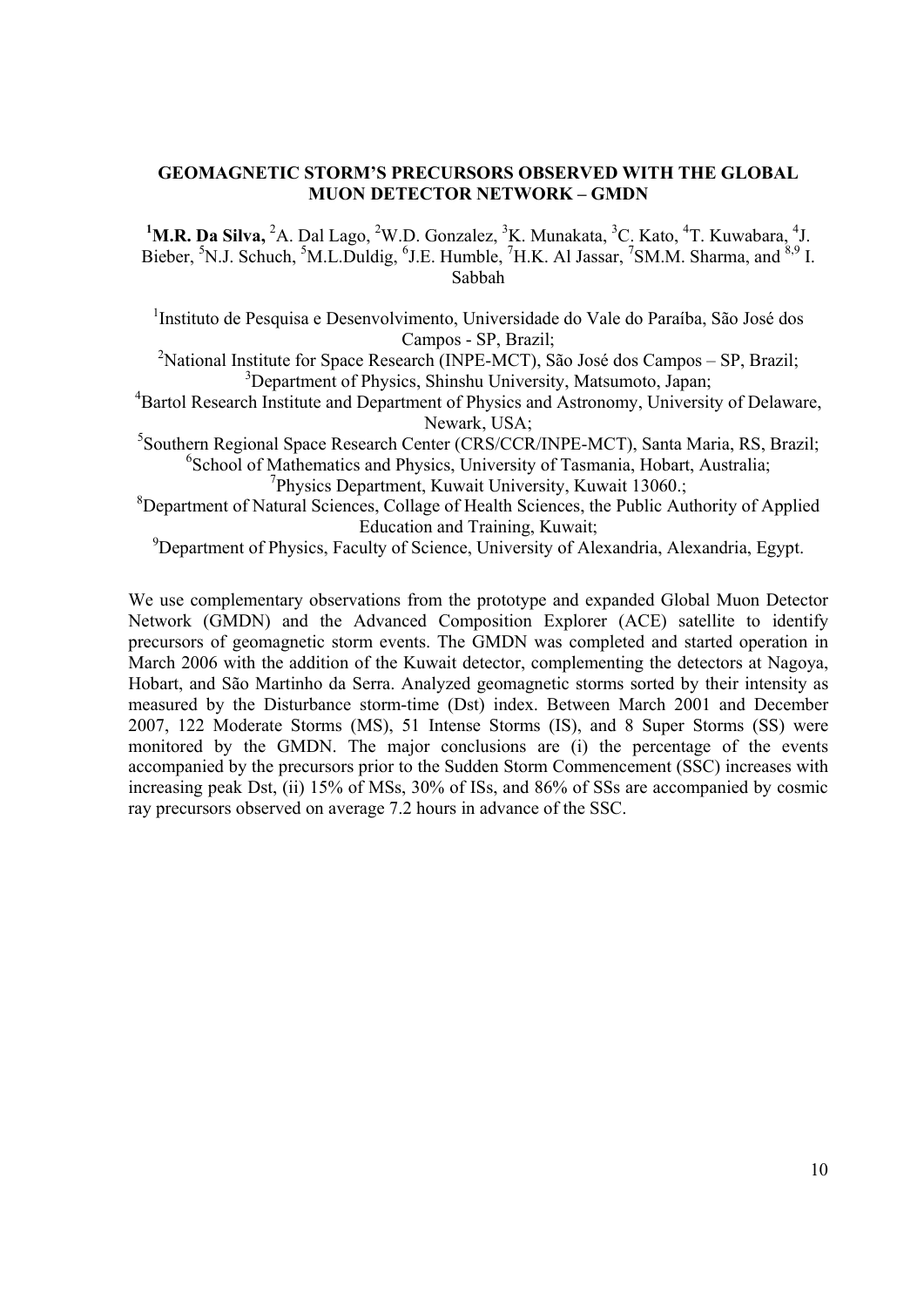## **GEOMAGNETIC STORM'S PRECURSORS OBSERVED WITH THE GLOBAL MUON DETECTOR NETWORK – GMDN**

<sup>1</sup>M.R. Da Silva, <sup>2</sup>A. Dal Lago, <sup>2</sup>W.D. Gonzalez, <sup>3</sup>K. Munakata, <sup>3</sup>C. Kato, <sup>4</sup>T. Kuwabara, <sup>4</sup>J. Bieber, <sup>5</sup>N.J. Schuch, <sup>5</sup>M.L.Duldig, <sup>6</sup>J.E. Humble, <sup>7</sup>H.K. Al Jassar, <sup>7</sup>SM.M. Sharma, and <sup>8,9</sup> I. Sabbah

<sup>1</sup>Instituto de Pesquisa e Desenvolvimento, Universidade do Vale do Paraíba, São José dos Campos - SP, Brazil;

<sup>2</sup>National Institute for Space Research (INPE-MCT), São José dos Campos – SP, Brazil; <sup>3</sup>Department of Physics, Shinshu University, Matsumoto, Japan;

<sup>4</sup>Bartol Research Institute and Department of Physics and Astronomy, University of Delaware, Newark, USA;

5 Southern Regional Space Research Center (CRS/CCR/INPE-MCT), Santa Maria, RS, Brazil; <sup>6</sup>School of Mathematics and Physics, University of Tasmania, Hobart, Australia;

7 Physics Department, Kuwait University, Kuwait 13060.;

<sup>8</sup>Department of Natural Sciences, Collage of Health Sciences, the Public Authority of Applied Education and Training, Kuwait;

<sup>9</sup>Department of Physics, Faculty of Science, University of Alexandria, Alexandria, Egypt.

We use complementary observations from the prototype and expanded Global Muon Detector Network (GMDN) and the Advanced Composition Explorer (ACE) satellite to identify precursors of geomagnetic storm events. The GMDN was completed and started operation in March 2006 with the addition of the Kuwait detector, complementing the detectors at Nagoya, Hobart, and São Martinho da Serra. Analyzed geomagnetic storms sorted by their intensity as measured by the Disturbance storm-time (Dst) index. Between March 2001 and December 2007, 122 Moderate Storms (MS), 51 Intense Storms (IS), and 8 Super Storms (SS) were monitored by the GMDN. The major conclusions are (i) the percentage of the events accompanied by the precursors prior to the Sudden Storm Commencement (SSC) increases with increasing peak Dst, (ii) 15% of MSs, 30% of ISs, and 86% of SSs are accompanied by cosmic ray precursors observed on average 7.2 hours in advance of the SSC.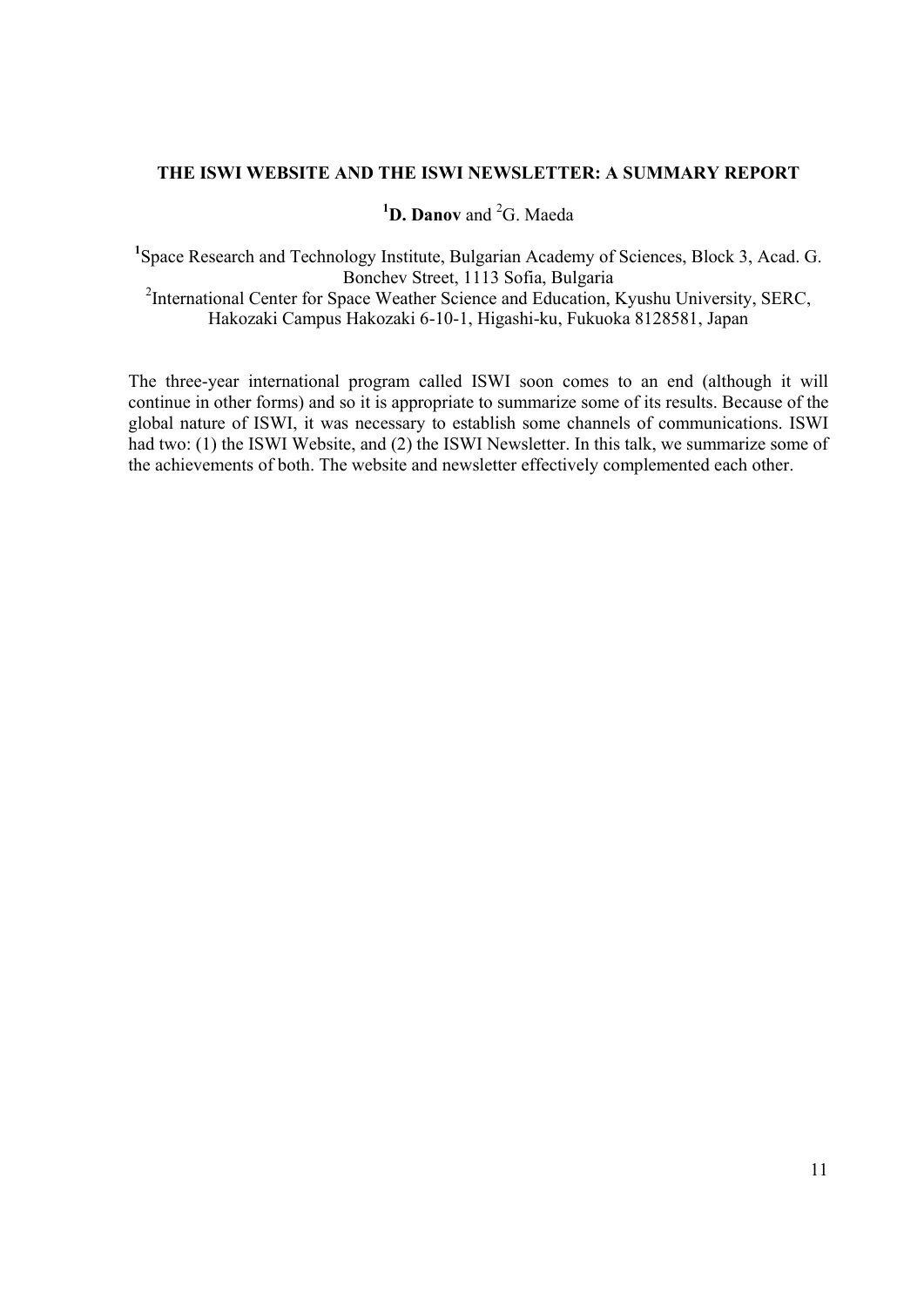## **THE ISWI WEBSITE AND THE ISWI NEWSLETTER: A SUMMARY REPORT**

# <sup>1</sup>D. Danov and <sup>2</sup>G. Maeda

<sup>1</sup>Space Research and Technology Institute, Bulgarian Academy of Sciences, Block 3, Acad. G. Bonchev Street, 1113 Sofia, Bulgaria <sup>2</sup>International Center for Space Weather Science and Education, Kyushu University, SERC, Hakozaki Campus Hakozaki 6-10-1, Higashi-ku, Fukuoka 8128581, Japan

The three-year international program called ISWI soon comes to an end (although it will continue in other forms) and so it is appropriate to summarize some of its results. Because of the global nature of ISWI, it was necessary to establish some channels of communications. ISWI had two: (1) the ISWI Website, and (2) the ISWI Newsletter. In this talk, we summarize some of the achievements of both. The website and newsletter effectively complemented each other.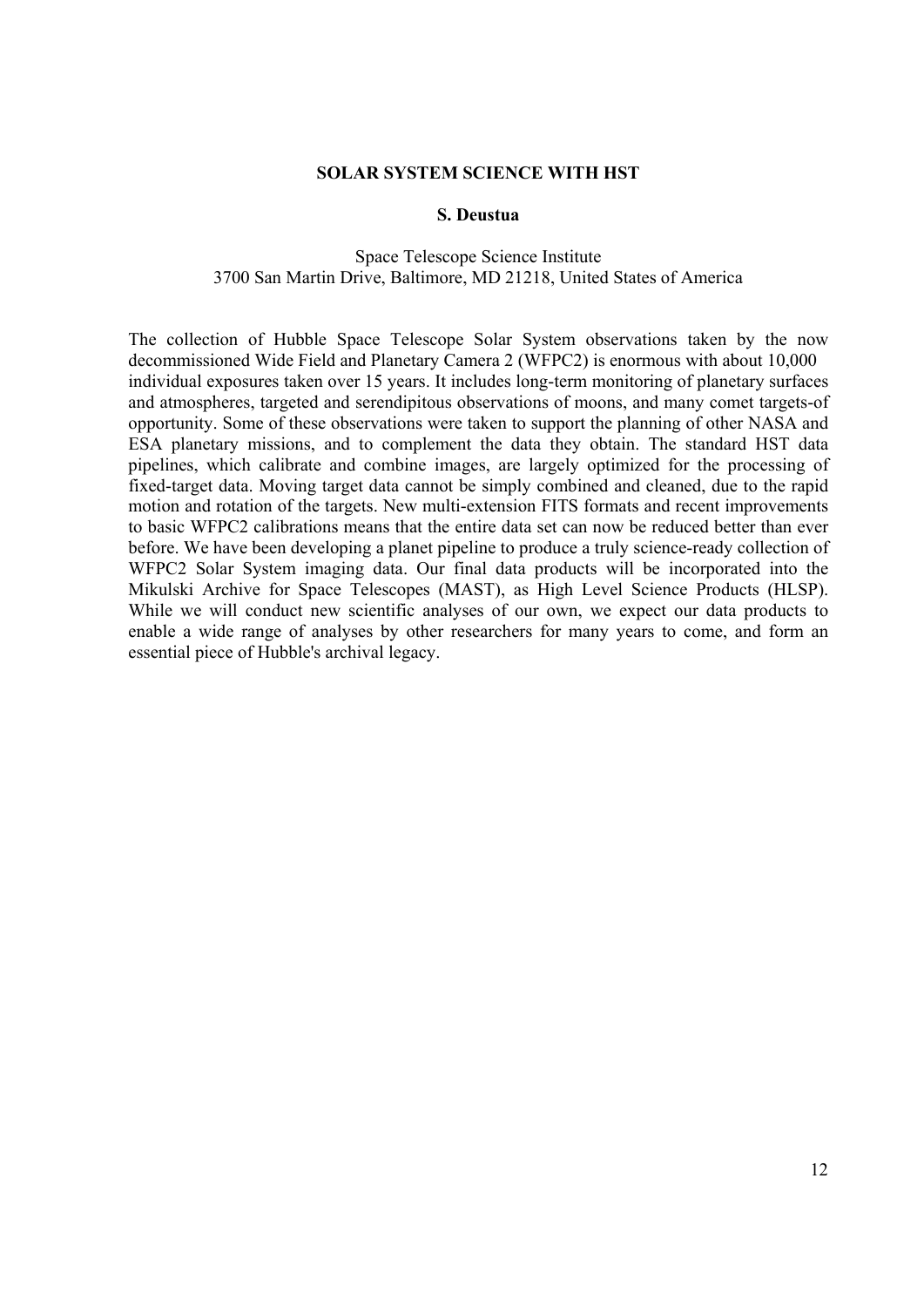#### **SOLAR SYSTEM SCIENCE WITH HST**

#### **S. Deustua**

## Space Telescope Science Institute 3700 San Martin Drive, Baltimore, MD 21218, United States of America

The collection of Hubble Space Telescope Solar System observations taken by the now decommissioned Wide Field and Planetary Camera 2 (WFPC2) is enormous with about 10,000 individual exposures taken over 15 years. It includes long-term monitoring of planetary surfaces and atmospheres, targeted and serendipitous observations of moons, and many comet targets-of opportunity. Some of these observations were taken to support the planning of other NASA and ESA planetary missions, and to complement the data they obtain. The standard HST data pipelines, which calibrate and combine images, are largely optimized for the processing of fixed-target data. Moving target data cannot be simply combined and cleaned, due to the rapid motion and rotation of the targets. New multi-extension FITS formats and recent improvements to basic WFPC2 calibrations means that the entire data set can now be reduced better than ever before. We have been developing a planet pipeline to produce a truly science-ready collection of WFPC2 Solar System imaging data. Our final data products will be incorporated into the Mikulski Archive for Space Telescopes (MAST), as High Level Science Products (HLSP). While we will conduct new scientific analyses of our own, we expect our data products to enable a wide range of analyses by other researchers for many years to come, and form an essential piece of Hubble's archival legacy.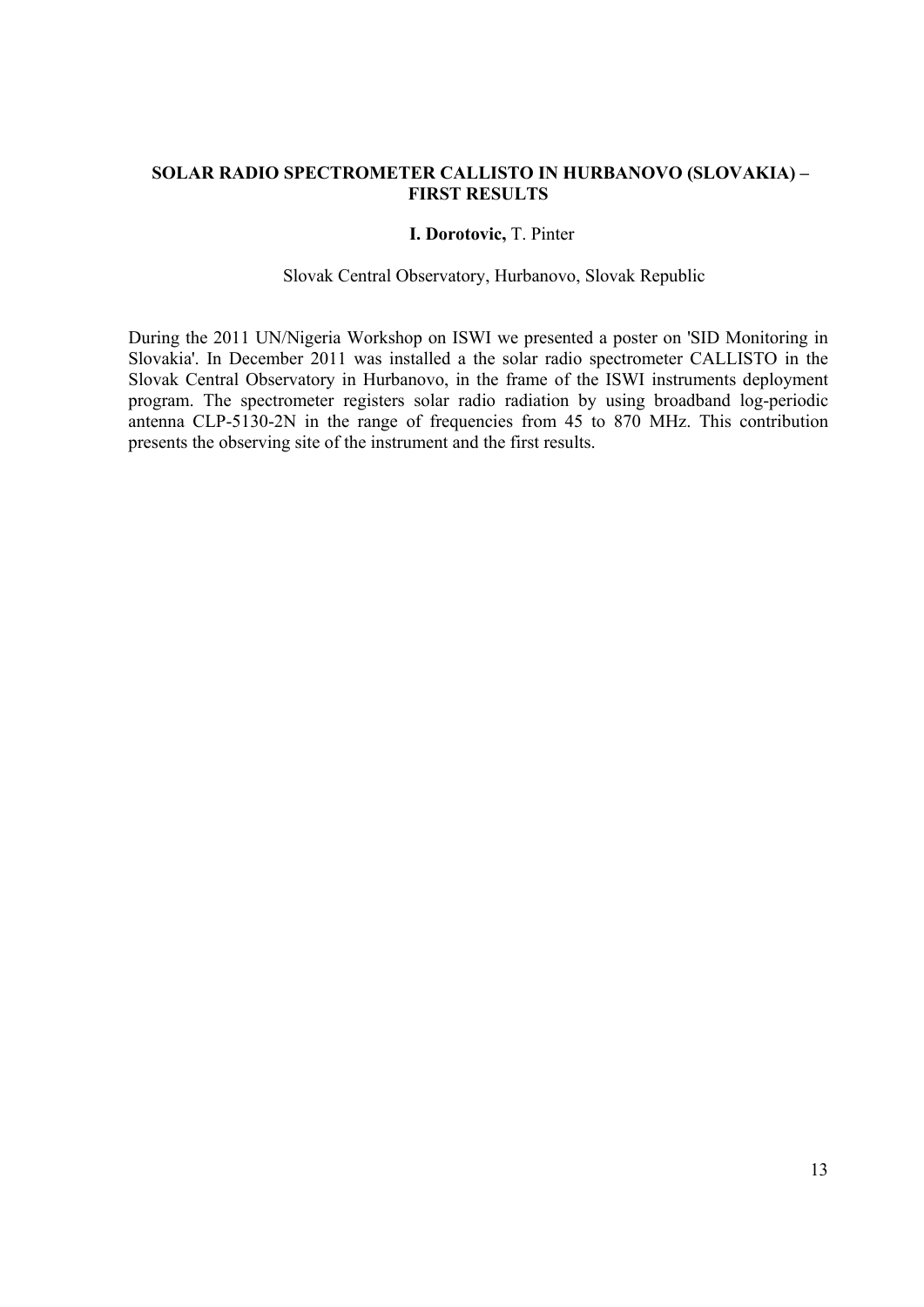# **SOLAR RADIO SPECTROMETER CALLISTO IN HURBANOVO (SLOVAKIA) – FIRST RESULTS**

#### **I. Dorotovic,** T. Pinter

#### Slovak Central Observatory, Hurbanovo, Slovak Republic

During the 2011 UN/Nigeria Workshop on ISWI we presented a poster on 'SID Monitoring in Slovakia'. In December 2011 was installed a the solar radio spectrometer CALLISTO in the Slovak Central Observatory in Hurbanovo, in the frame of the ISWI instruments deployment program. The spectrometer registers solar radio radiation by using broadband log-periodic antenna CLP-5130-2N in the range of frequencies from 45 to 870 MHz. This contribution presents the observing site of the instrument and the first results.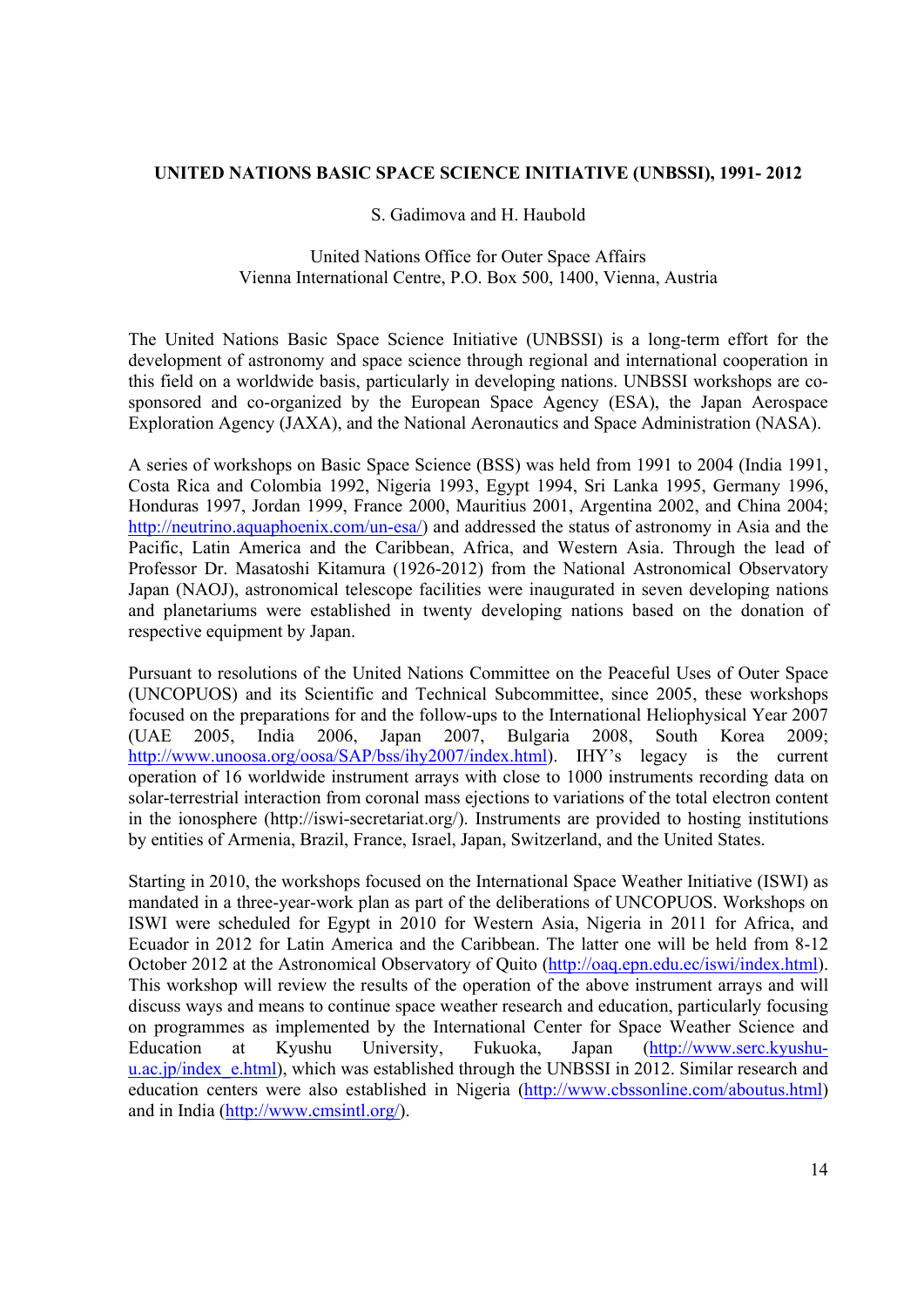## **UNITED NATIONS BASIC SPACE SCIENCE INITIATIVE (UNBSSI), 1991- 2012**

## S. Gadimova and H. Haubold

#### United Nations Office for Outer Space Affairs Vienna International Centre, P.O. Box 500, 1400, Vienna, Austria

The United Nations Basic Space Science Initiative (UNBSSI) is a long-term effort for the development of astronomy and space science through regional and international cooperation in this field on a worldwide basis, particularly in developing nations. UNBSSI workshops are cosponsored and co-organized by the European Space Agency (ESA), the Japan Aerospace Exploration Agency (JAXA), and the National Aeronautics and Space Administration (NASA).

A series of workshops on Basic Space Science (BSS) was held from 1991 to 2004 (India 1991, Costa Rica and Colombia 1992, Nigeria 1993, Egypt 1994, Sri Lanka 1995, Germany 1996, Honduras 1997, Jordan 1999, France 2000, Mauritius 2001, Argentina 2002, and China 2004; http://neutrino.aquaphoenix.com/un-esa/) and addressed the status of astronomy in Asia and the Pacific, Latin America and the Caribbean, Africa, and Western Asia. Through the lead of Professor Dr. Masatoshi Kitamura (1926-2012) from the National Astronomical Observatory Japan (NAOJ), astronomical telescope facilities were inaugurated in seven developing nations and planetariums were established in twenty developing nations based on the donation of respective equipment by Japan.

Pursuant to resolutions of the United Nations Committee on the Peaceful Uses of Outer Space (UNCOPUOS) and its Scientific and Technical Subcommittee, since 2005, these workshops focused on the preparations for and the follow-ups to the International Heliophysical Year 2007 (UAE 2005, India 2006, Japan 2007, Bulgaria 2008, South Korea 2009; http://www.unoosa.org/oosa/SAP/bss/ihy2007/index.html). IHY's legacy is the current operation of 16 worldwide instrument arrays with close to 1000 instruments recording data on solar-terrestrial interaction from coronal mass ejections to variations of the total electron content in the ionosphere (http://iswi-secretariat.org/). Instruments are provided to hosting institutions by entities of Armenia, Brazil, France, Israel, Japan, Switzerland, and the United States.

Starting in 2010, the workshops focused on the International Space Weather Initiative (ISWI) as mandated in a three-year-work plan as part of the deliberations of UNCOPUOS. Workshops on ISWI were scheduled for Egypt in 2010 for Western Asia, Nigeria in 2011 for Africa, and Ecuador in 2012 for Latin America and the Caribbean. The latter one will be held from 8-12 October 2012 at the Astronomical Observatory of Quito (http://oaq.epn.edu.ec/iswi/index.html). This workshop will review the results of the operation of the above instrument arrays and will discuss ways and means to continue space weather research and education, particularly focusing on programmes as implemented by the International Center for Space Weather Science and Education at Kyushu University, Fukuoka, Japan (http://www.serc.kyushuu.ac.jp/index\_e.html), which was established through the UNBSSI in 2012. Similar research and education centers were also established in Nigeria (http://www.cbssonline.com/aboutus.html) and in India (http://www.cmsintl.org/).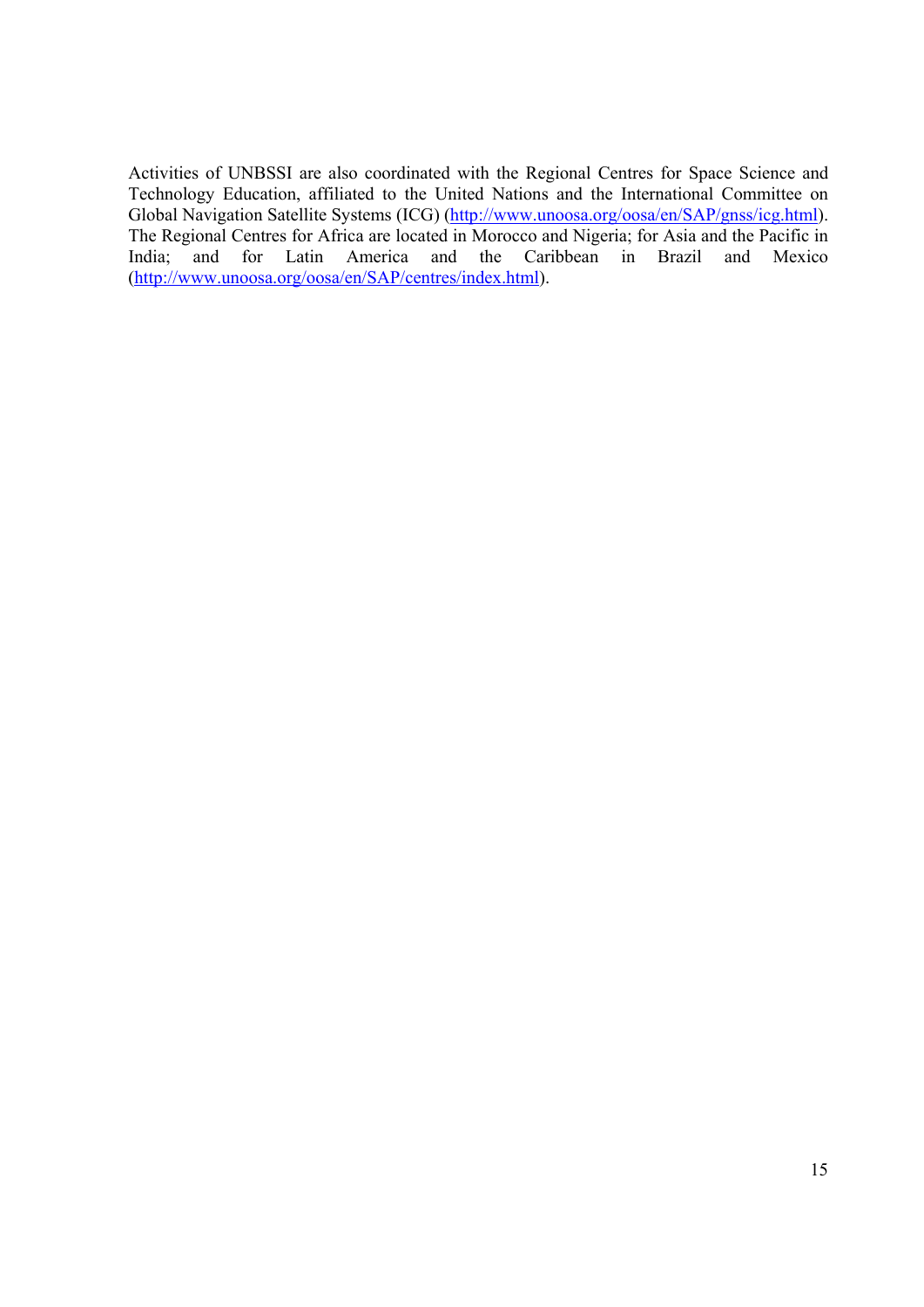Activities of UNBSSI are also coordinated with the Regional Centres for Space Science and Technology Education, affiliated to the United Nations and the International Committee on Global Navigation Satellite Systems (ICG) (http://www.unoosa.org/oosa/en/SAP/gnss/icg.html). The Regional Centres for Africa are located in Morocco and Nigeria; for Asia and the Pacific in India; and for Latin America and the Caribbean in Brazil and Mexico (http://www.unoosa.org/oosa/en/SAP/centres/index.html).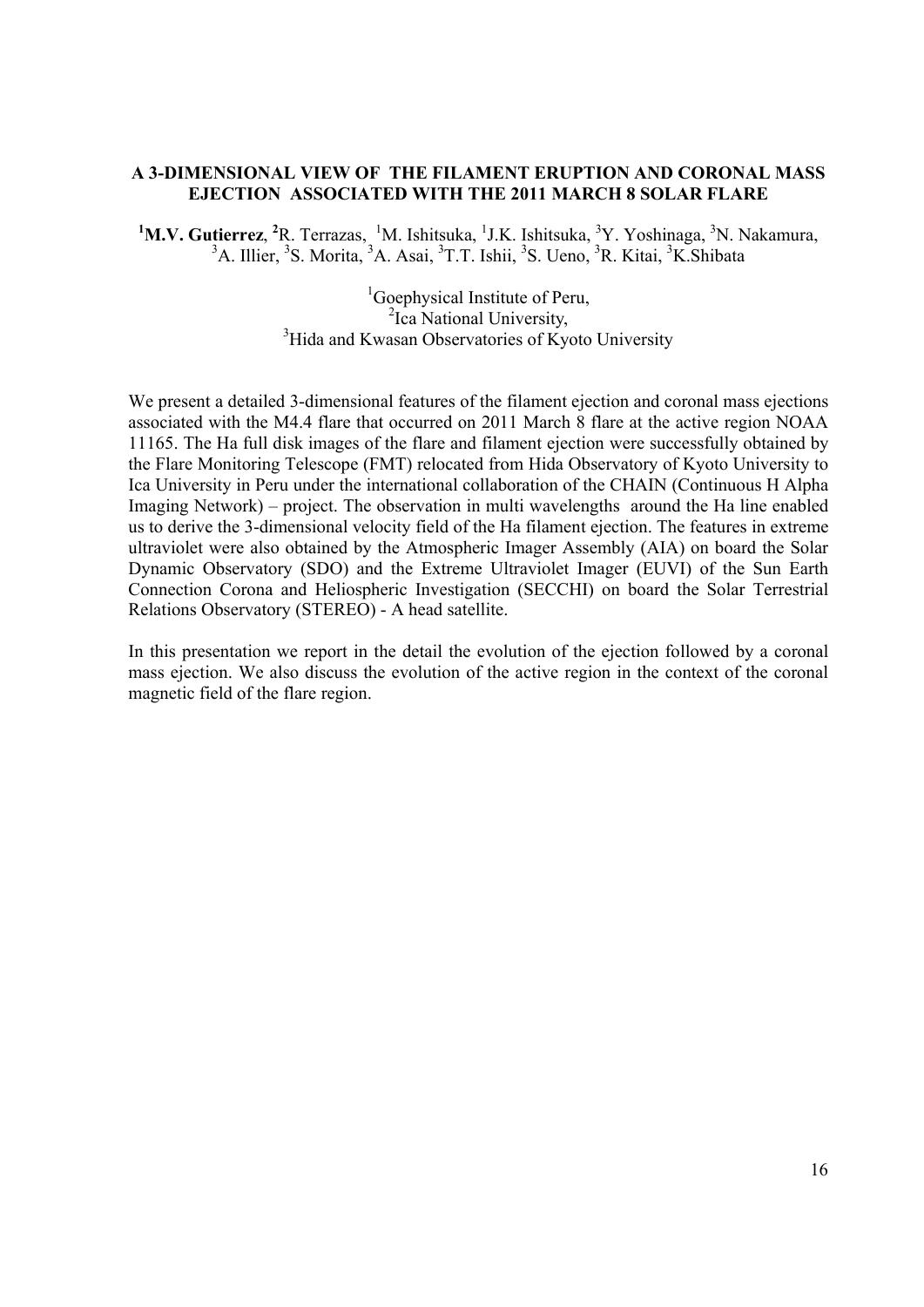## **A 3-DIMENSIONAL VIEW OF THE FILAMENT ERUPTION AND CORONAL MASS EJECTION ASSOCIATED WITH THE 2011 MARCH 8 SOLAR FLARE**

<sup>1</sup>M.V. Gutierrez, <sup>2</sup>R. Terrazas, <sup>1</sup>M. Ishitsuka, <sup>1</sup>J.K. Ishitsuka, <sup>3</sup>Y. Yoshinaga, <sup>3</sup>N. Nakamura, <sup>3</sup>A. Illier, <sup>3</sup>S. Morita, <sup>3</sup>A. Asai, <sup>3</sup>T.T. Ishii, <sup>3</sup>S. Ueno, <sup>3</sup>R. Kitai, <sup>3</sup>K. Shibata

<sup>1</sup>Goephysical Institute of Peru, <sup>2</sup>Ica National University, <sup>3</sup>Hida and Kwasan Observatories of Kyoto University

We present a detailed 3-dimensional features of the filament ejection and coronal mass ejections associated with the M4.4 flare that occurred on 2011 March 8 flare at the active region NOAA 11165. The Ha full disk images of the flare and filament ejection were successfully obtained by the Flare Monitoring Telescope (FMT) relocated from Hida Observatory of Kyoto University to Ica University in Peru under the international collaboration of the CHAIN (Continuous H Alpha Imaging Network) – project. The observation in multi wavelengths around the Ha line enabled us to derive the 3-dimensional velocity field of the Ha filament ejection. The features in extreme ultraviolet were also obtained by the Atmospheric Imager Assembly (AIA) on board the Solar Dynamic Observatory (SDO) and the Extreme Ultraviolet Imager (EUVI) of the Sun Earth Connection Corona and Heliospheric Investigation (SECCHI) on board the Solar Terrestrial Relations Observatory (STEREO) - A head satellite.

In this presentation we report in the detail the evolution of the ejection followed by a coronal mass ejection. We also discuss the evolution of the active region in the context of the coronal magnetic field of the flare region.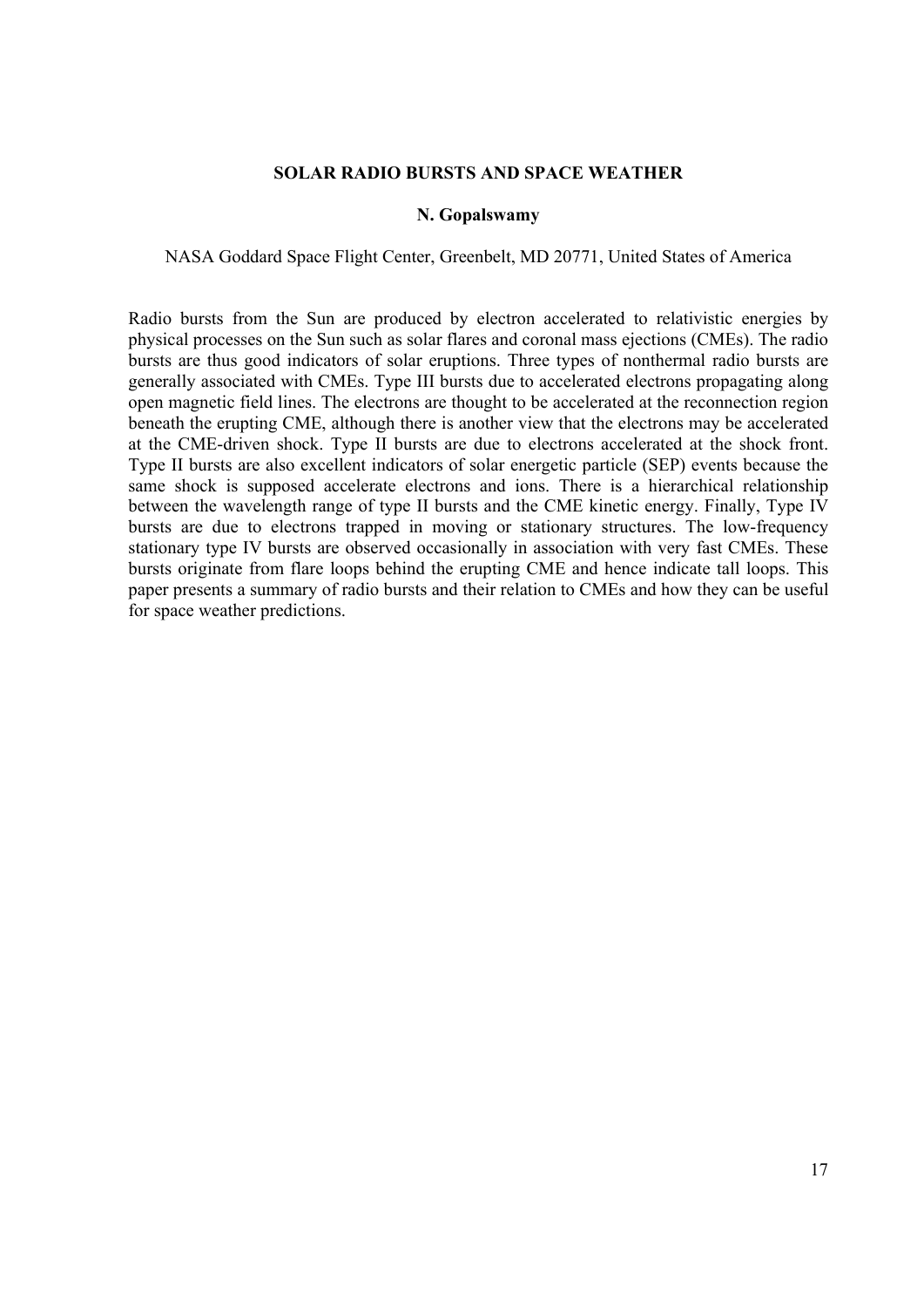#### **SOLAR RADIO BURSTS AND SPACE WEATHER**

#### **N. Gopalswamy**

#### NASA Goddard Space Flight Center, Greenbelt, MD 20771, United States of America

Radio bursts from the Sun are produced by electron accelerated to relativistic energies by physical processes on the Sun such as solar flares and coronal mass ejections (CMEs). The radio bursts are thus good indicators of solar eruptions. Three types of nonthermal radio bursts are generally associated with CMEs. Type III bursts due to accelerated electrons propagating along open magnetic field lines. The electrons are thought to be accelerated at the reconnection region beneath the erupting CME, although there is another view that the electrons may be accelerated at the CME-driven shock. Type II bursts are due to electrons accelerated at the shock front. Type II bursts are also excellent indicators of solar energetic particle (SEP) events because the same shock is supposed accelerate electrons and ions. There is a hierarchical relationship between the wavelength range of type II bursts and the CME kinetic energy. Finally, Type IV bursts are due to electrons trapped in moving or stationary structures. The low-frequency stationary type IV bursts are observed occasionally in association with very fast CMEs. These bursts originate from flare loops behind the erupting CME and hence indicate tall loops. This paper presents a summary of radio bursts and their relation to CMEs and how they can be useful for space weather predictions.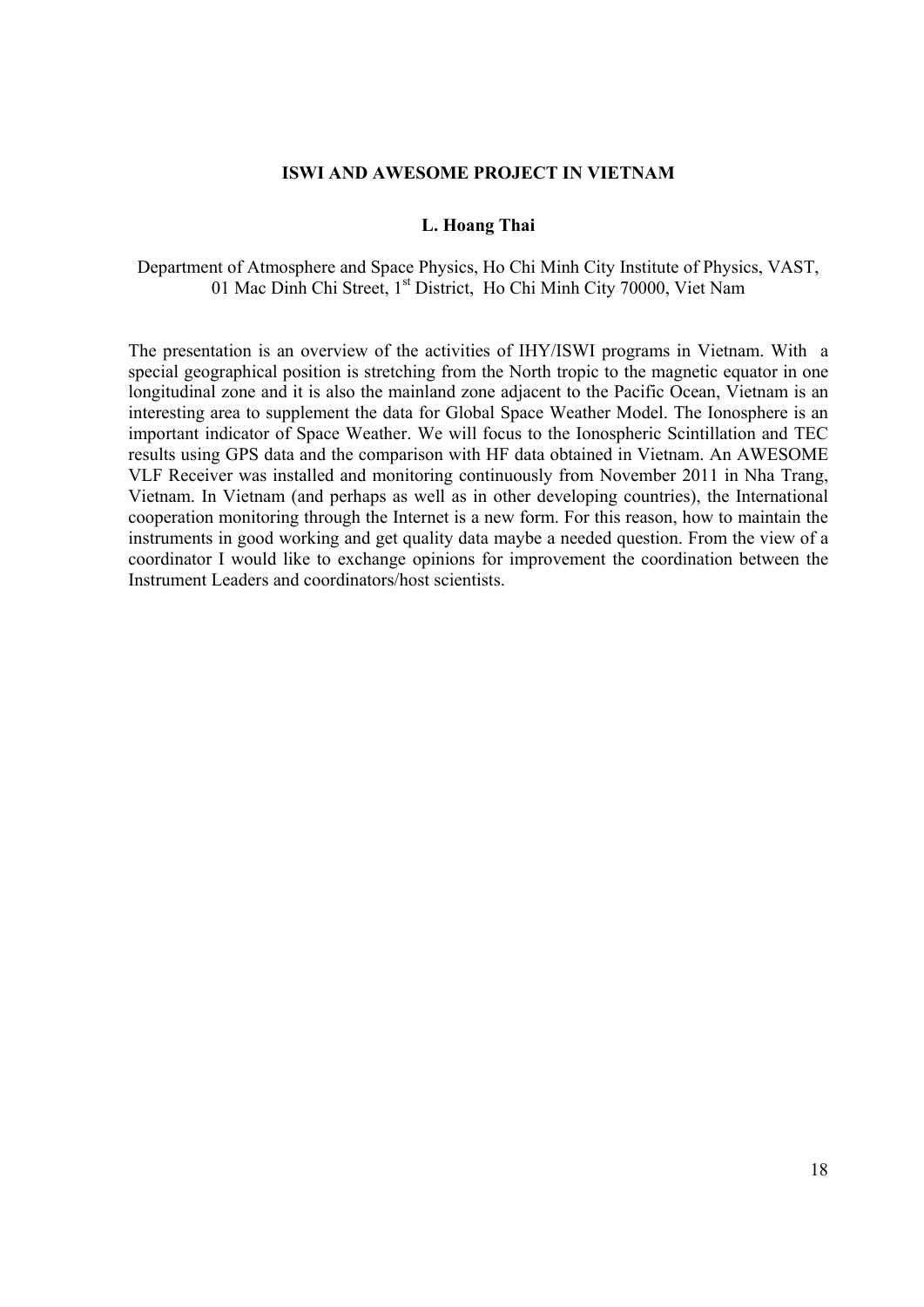#### **ISWI AND AWESOME PROJECT IN VIETNAM**

#### **L. Hoang Thai**

Department of Atmosphere and Space Physics, Ho Chi Minh City Institute of Physics, VAST, 01 Mac Dinh Chi Street, 1<sup>st</sup> District, Ho Chi Minh City 70000, Viet Nam

The presentation is an overview of the activities of IHY/ISWI programs in Vietnam. With a special geographical position is stretching from the North tropic to the magnetic equator in one longitudinal zone and it is also the mainland zone adjacent to the Pacific Ocean, Vietnam is an interesting area to supplement the data for Global Space Weather Model. The Ionosphere is an important indicator of Space Weather. We will focus to the Ionospheric Scintillation and TEC results using GPS data and the comparison with HF data obtained in Vietnam. An AWESOME VLF Receiver was installed and monitoring continuously from November 2011 in Nha Trang, Vietnam. In Vietnam (and perhaps as well as in other developing countries), the International cooperation monitoring through the Internet is a new form. For this reason, how to maintain the instruments in good working and get quality data maybe a needed question. From the view of a coordinator I would like to exchange opinions for improvement the coordination between the Instrument Leaders and coordinators/host scientists.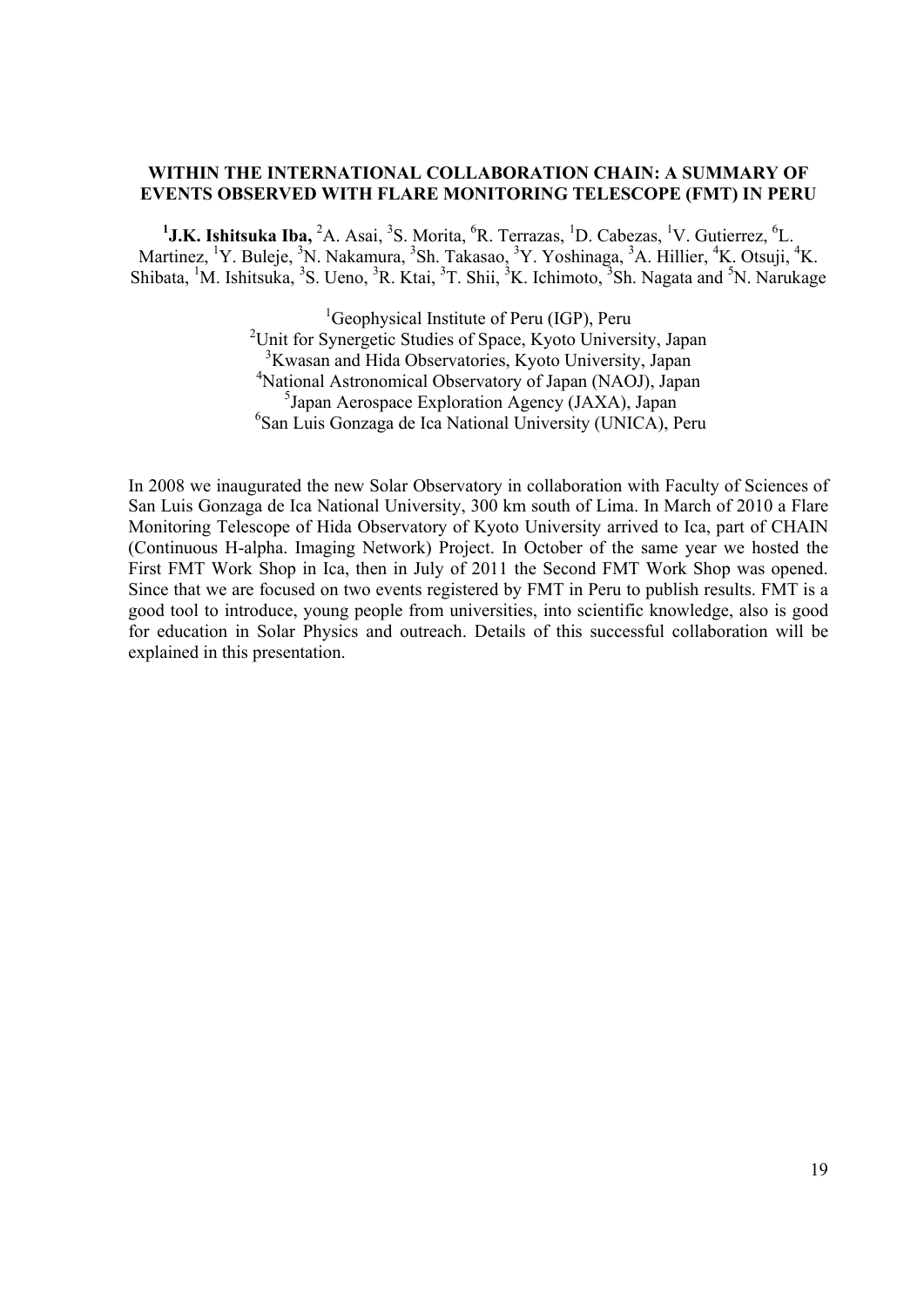## **WITHIN THE INTERNATIONAL COLLABORATION CHAIN: A SUMMARY OF EVENTS OBSERVED WITH FLARE MONITORING TELESCOPE (FMT) IN PERU**

<sup>1</sup>J.K. Ishitsuka Iba, <sup>2</sup>A. Asai, <sup>3</sup>S. Morita, <sup>6</sup>R. Terrazas, <sup>1</sup>D. Cabezas, <sup>1</sup>V. Gutierrez, <sup>6</sup>L. Martinez, <sup>1</sup>Y. Buleje, <sup>3</sup>N. Nakamura, <sup>3</sup>Sh. Takasao, <sup>3</sup>Y. Yoshinaga, <sup>3</sup>A. Hillier, <sup>4</sup>K. Otsuji, <sup>4</sup>K. Shibata, <sup>1</sup>M. Ishitsuka, <sup>3</sup>S. Ueno, <sup>3</sup>R. Ktai, <sup>3</sup>T. Shii, <sup>3</sup>K. Ichimoto, <sup>3</sup>Sh. Nagata and <sup>5</sup>N. Narukage

> <sup>1</sup>Geophysical Institute of Peru (IGP), Peru <sup>2</sup>Unit for Synergetic Studies of Space, Kyoto University, Japan <sup>3</sup>Kwasan and Hida Observatories, Kyoto University, Japan 4 National Astronomical Observatory of Japan (NAOJ), Japan 5 Japan Aerospace Exploration Agency (JAXA), Japan 6 San Luis Gonzaga de Ica National University (UNICA), Peru

In 2008 we inaugurated the new Solar Observatory in collaboration with Faculty of Sciences of San Luis Gonzaga de Ica National University, 300 km south of Lima. In March of 2010 a Flare Monitoring Telescope of Hida Observatory of Kyoto University arrived to Ica, part of CHAIN (Continuous H-alpha. Imaging Network) Project. In October of the same year we hosted the First FMT Work Shop in Ica, then in July of 2011 the Second FMT Work Shop was opened. Since that we are focused on two events registered by FMT in Peru to publish results. FMT is a good tool to introduce, young people from universities, into scientific knowledge, also is good for education in Solar Physics and outreach. Details of this successful collaboration will be explained in this presentation.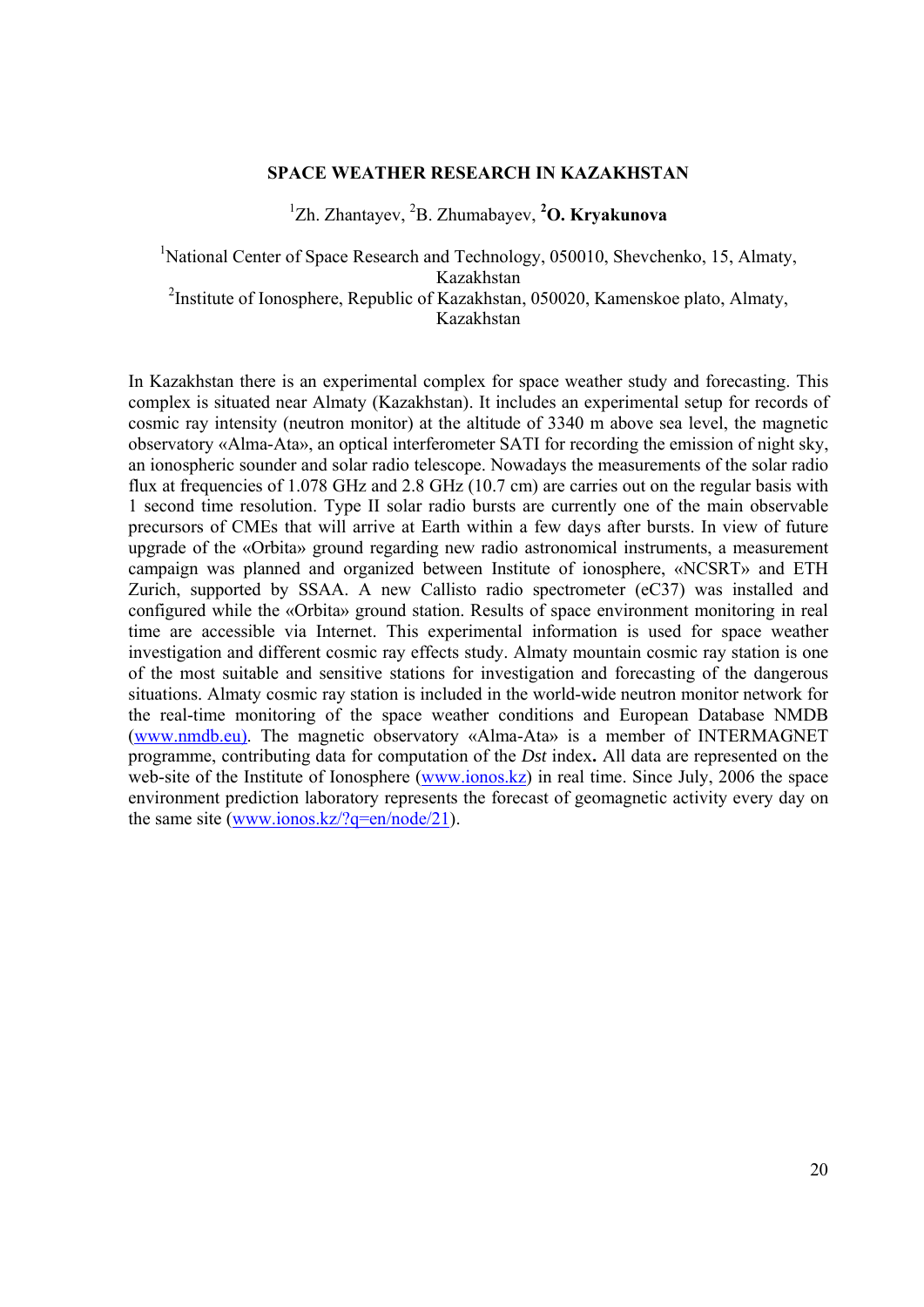## **SPACE WEATHER RESEARCH IN KAZAKHSTAN**

1 Zh. Zhantayev, 2 B. Zhumabayev, **<sup>2</sup> O. Kryakunova** 

<sup>1</sup>National Center of Space Research and Technology, 050010, Shevchenko, 15, Almaty, Kazakhstan <sup>2</sup>Institute of Ionosphere, Republic of Kazakhstan, 050020, Kamenskoe plato, Almaty, Kazakhstan

In Kazakhstan there is an experimental complex for space weather study and forecasting. This complex is situated near Almaty (Kazakhstan). It includes an experimental setup for records of cosmic ray intensity (neutron monitor) at the altitude of 3340 m above sea level, the magnetic observatory «Alma-Ata», an optical interferometer SATI for recording the emission of night sky, an ionospheric sounder and solar radio telescope. Nowadays the measurements of the solar radio flux at frequencies of 1.078 GHz and 2.8 GHz (10.7 cm) are carries out on the regular basis with 1 second time resolution. Type II solar radio bursts are currently one of the main observable precursors of CMEs that will arrive at Earth within a few days after bursts. In view of future upgrade of the «Orbita» ground regarding new radio astronomical instruments, a measurement campaign was planned and organized between Institute of ionosphere, «NCSRT» and ETH Zurich, supported by SSAA. A new Callisto radio spectrometer (eC37) was installed and configured while the «Orbita» ground station. Results of space environment monitoring in real time are accessible via Internet. This experimental information is used for space weather investigation and different cosmic ray effects study. Almaty mountain cosmic ray station is one of the most suitable and sensitive stations for investigation and forecasting of the dangerous situations. Almaty cosmic ray station is included in the world-wide neutron monitor network for the real-time monitoring of the space weather conditions and European Database NMDB (www.nmdb.eu). The magnetic observatory «Alma-Ata» is a member of INTERMAGNET programme, contributing data for computation of the *Dst* index**.** All data are represented on the web-site of the Institute of Ionosphere (www.ionos.kz) in real time. Since July, 2006 the space environment prediction laboratory represents the forecast of geomagnetic activity every day on the same site (www.ionos.kz/?q=en/node/21).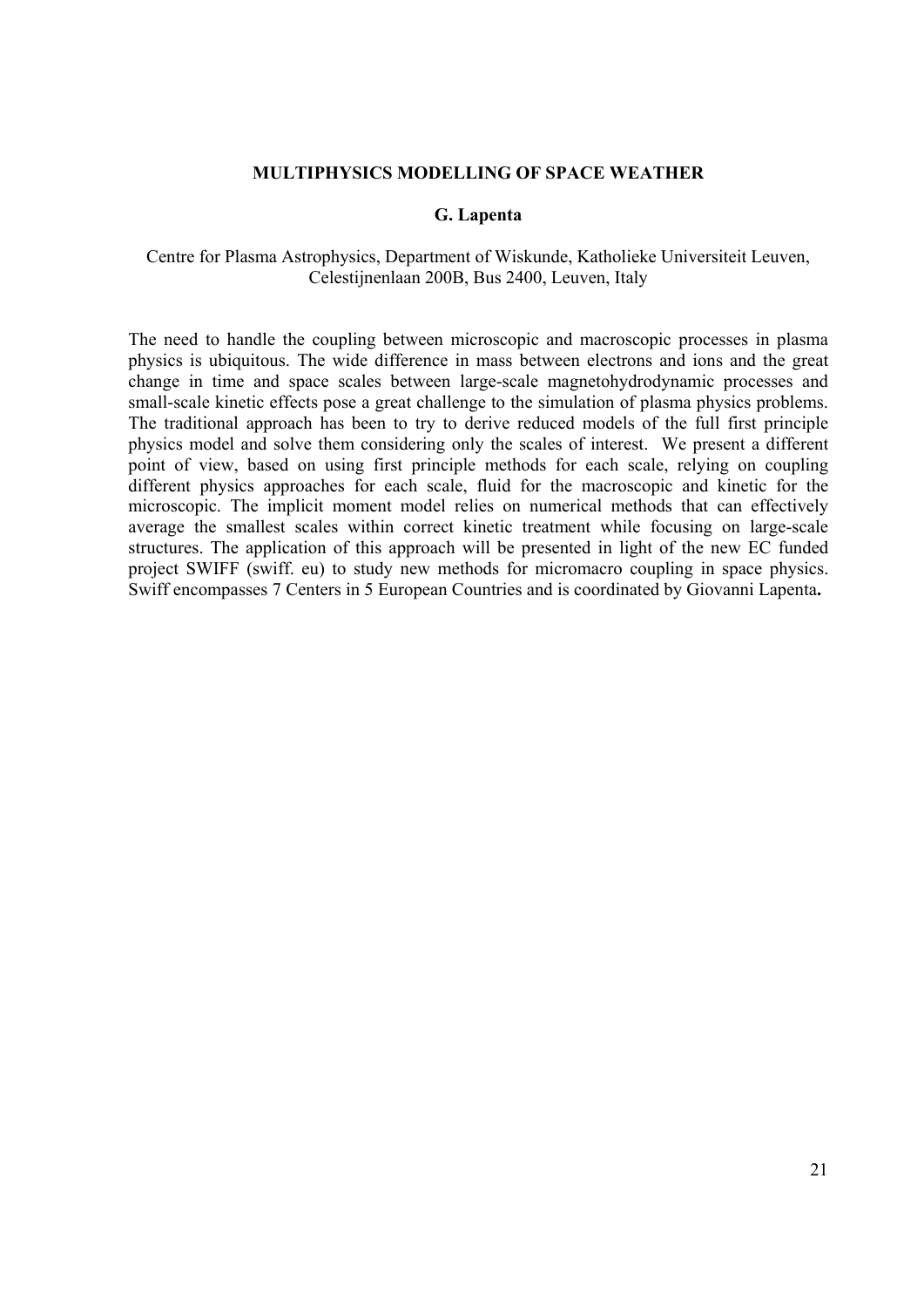#### **MULTIPHYSICS MODELLING OF SPACE WEATHER**

#### **G. Lapenta**

#### Centre for Plasma Astrophysics, Department of Wiskunde, Katholieke Universiteit Leuven, Celestijnenlaan 200B, Bus 2400, Leuven, Italy

The need to handle the coupling between microscopic and macroscopic processes in plasma physics is ubiquitous. The wide difference in mass between electrons and ions and the great change in time and space scales between large-scale magnetohydrodynamic processes and small-scale kinetic effects pose a great challenge to the simulation of plasma physics problems. The traditional approach has been to try to derive reduced models of the full first principle physics model and solve them considering only the scales of interest. We present a different point of view, based on using first principle methods for each scale, relying on coupling different physics approaches for each scale, fluid for the macroscopic and kinetic for the microscopic. The implicit moment model relies on numerical methods that can effectively average the smallest scales within correct kinetic treatment while focusing on large-scale structures. The application of this approach will be presented in light of the new EC funded project SWIFF (swiff. eu) to study new methods for micromacro coupling in space physics. Swiff encompasses 7 Centers in 5 European Countries and is coordinated by Giovanni Lapenta**.**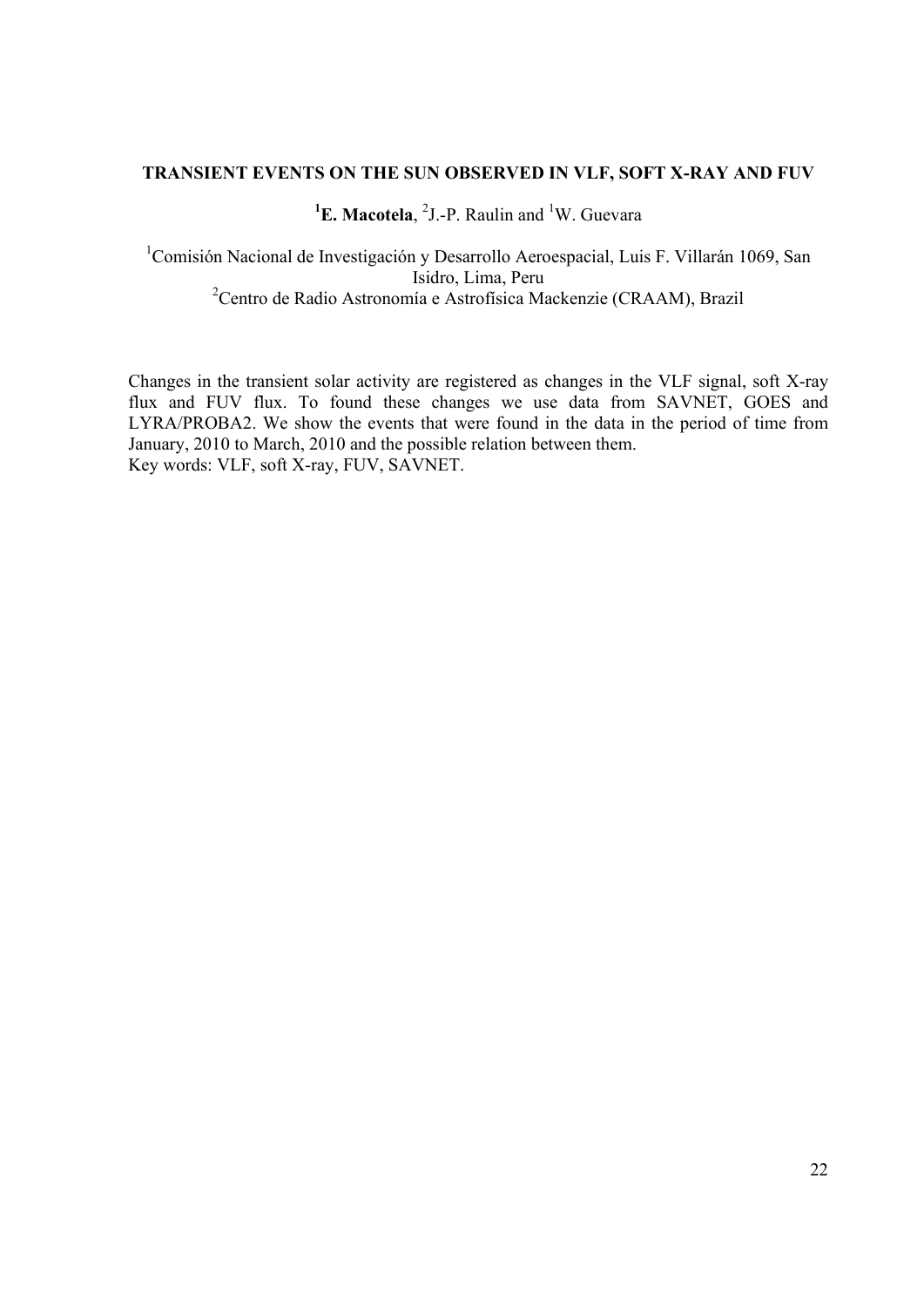## **TRANSIENT EVENTS ON THE SUN OBSERVED IN VLF, SOFT X-RAY AND FUV**

# <sup>1</sup>**E. Macotela**, <sup>2</sup>J.-P. Raulin and <sup>1</sup>W. Guevara

<sup>1</sup> Comisión Nacional de Investigación y Desarrollo Aeroespacial, Luis F. Villarán 1069, San Isidro, Lima, Peru <sup>2</sup> Centro de Radio Astronomía e Astrofísica Mackenzie (CRAAM), Brazil

Changes in the transient solar activity are registered as changes in the VLF signal, soft X-ray flux and FUV flux. To found these changes we use data from SAVNET, GOES and LYRA/PROBA2. We show the events that were found in the data in the period of time from January, 2010 to March, 2010 and the possible relation between them. Key words: VLF, soft X-ray, FUV, SAVNET.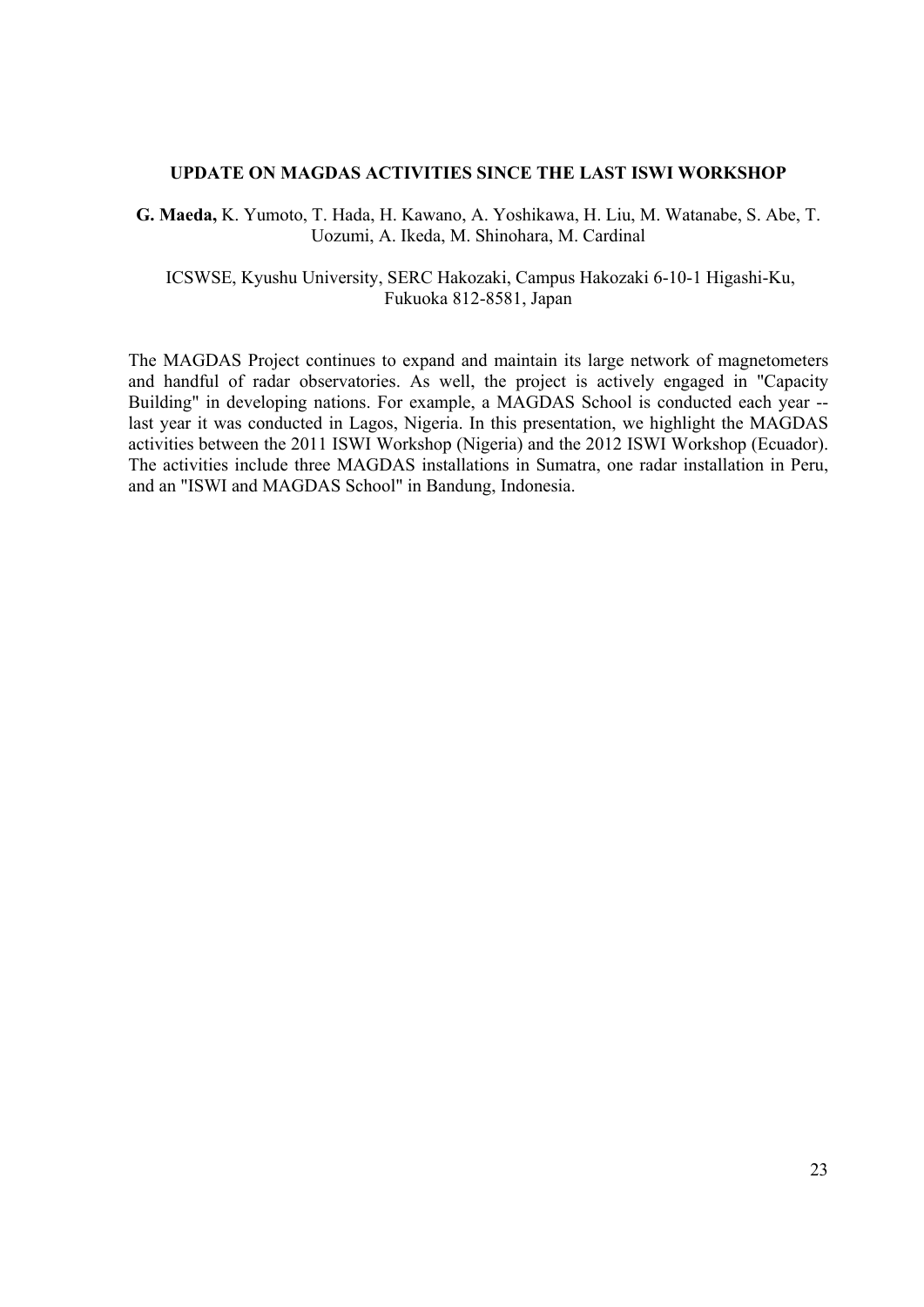#### **UPDATE ON MAGDAS ACTIVITIES SINCE THE LAST ISWI WORKSHOP**

**G. Maeda,** K. Yumoto, T. Hada, H. Kawano, A. Yoshikawa, H. Liu, M. Watanabe, S. Abe, T. Uozumi, A. Ikeda, M. Shinohara, M. Cardinal

 ICSWSE, Kyushu University, SERC Hakozaki, Campus Hakozaki 6-10-1 Higashi-Ku, Fukuoka 812-8581, Japan

The MAGDAS Project continues to expand and maintain its large network of magnetometers and handful of radar observatories. As well, the project is actively engaged in "Capacity Building" in developing nations. For example, a MAGDAS School is conducted each year - last year it was conducted in Lagos, Nigeria. In this presentation, we highlight the MAGDAS activities between the 2011 ISWI Workshop (Nigeria) and the 2012 ISWI Workshop (Ecuador). The activities include three MAGDAS installations in Sumatra, one radar installation in Peru, and an "ISWI and MAGDAS School" in Bandung, Indonesia.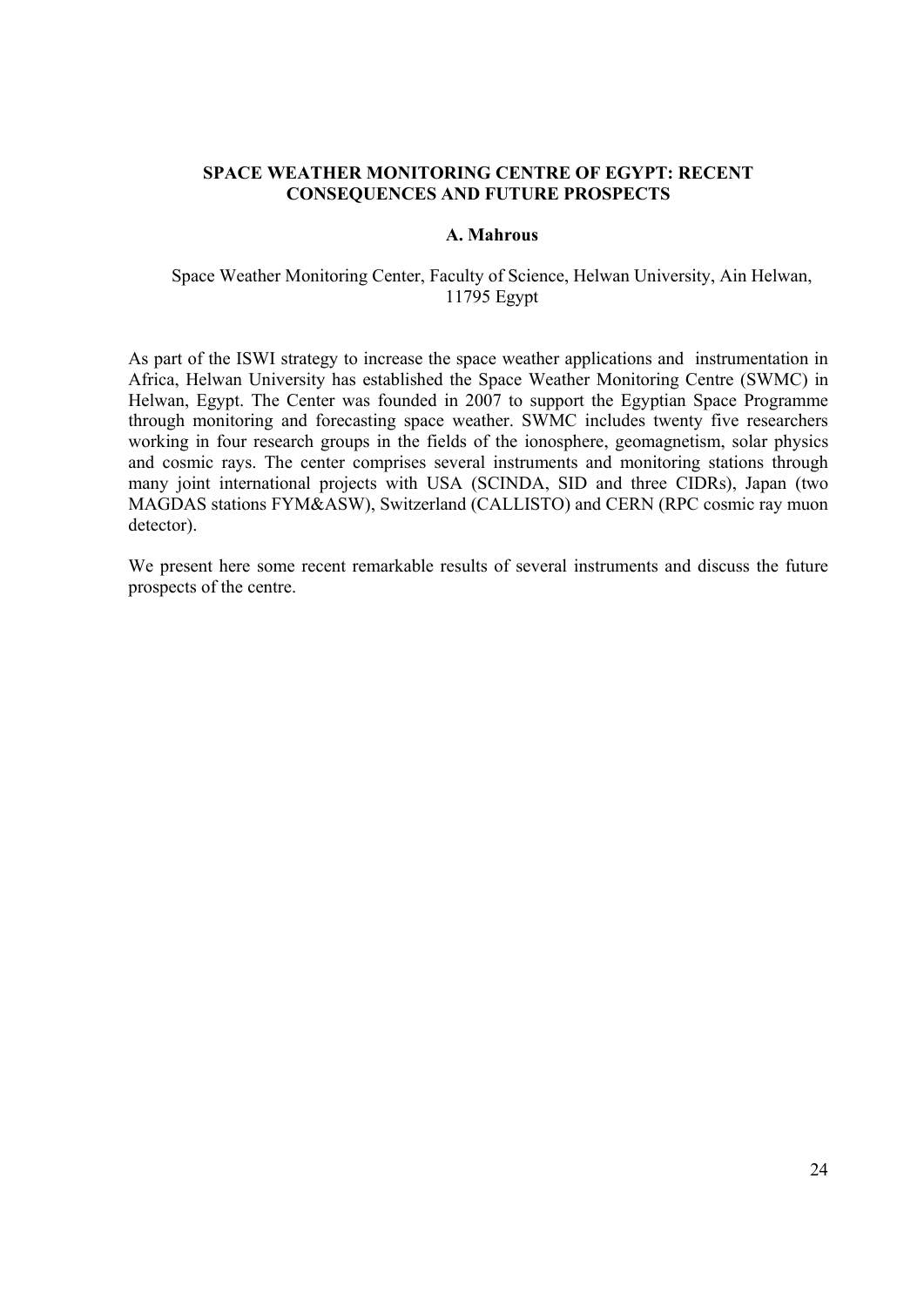## **SPACE WEATHER MONITORING CENTRE OF EGYPT: RECENT CONSEQUENCES AND FUTURE PROSPECTS**

#### **A. Mahrous**

## Space Weather Monitoring Center, Faculty of Science, Helwan University, Ain Helwan, 11795 Egypt

As part of the ISWI strategy to increase the space weather applications and instrumentation in Africa, Helwan University has established the Space Weather Monitoring Centre (SWMC) in Helwan, Egypt. The Center was founded in 2007 to support the Egyptian Space Programme through monitoring and forecasting space weather. SWMC includes twenty five researchers working in four research groups in the fields of the ionosphere, geomagnetism, solar physics and cosmic rays. The center comprises several instruments and monitoring stations through many joint international projects with USA (SCINDA, SID and three CIDRs), Japan (two MAGDAS stations FYM&ASW), Switzerland (CALLISTO) and CERN (RPC cosmic ray muon detector).

We present here some recent remarkable results of several instruments and discuss the future prospects of the centre.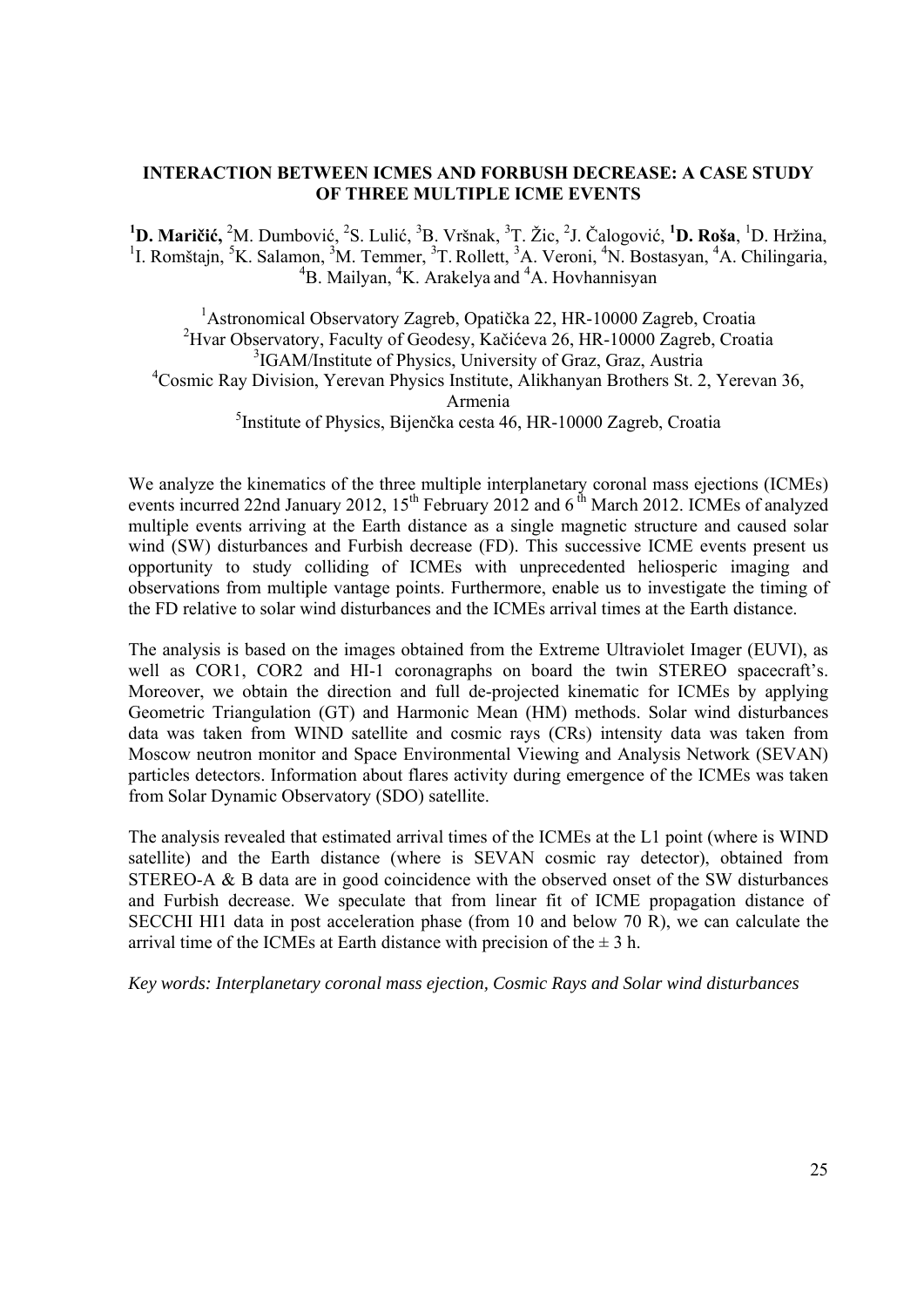## **INTERACTION BETWEEN ICMES AND FORBUSH DECREASE: A CASE STUDY OF THREE MULTIPLE ICME EVENTS**

<sup>1</sup>D. Maričić, <sup>2</sup>M. Dumbović, <sup>2</sup>S. Lulić, <sup>3</sup>B. Vršnak, <sup>3</sup>T. Žic, <sup>2</sup>J. Čalogović, <sup>1</sup>D. Roša, <sup>1</sup>D. Hržina, <sup>1</sup>I. Romštajn, <sup>5</sup>K. Salamon, <sup>3</sup>M. Temmer, <sup>3</sup>T. Rollett, <sup>3</sup>A. Veroni, <sup>4</sup>N. Bostasyan, <sup>4</sup>A. Chilingaria,  ${}^{4}B$ . Mailyan,  ${}^{4}K$ . Arakelya and  ${}^{4}A$ . Hovhannisyan

 Astronomical Observatory Zagreb, Opatička 22, HR-10000 Zagreb, Croatia Hvar Observatory, Faculty of Geodesy, Kačićeva 26, HR-10000 Zagreb, Croatia <sup>3</sup>IGAM/Institute of Physics, University of Graz, Graz, Austria Cosmic Ray Division, Yerevan Physics Institute, Alikhanyan Brothers St. 2, Yerevan 36, Armenia Institute of Physics, Bijenčka cesta 46, HR-10000 Zagreb, Croatia

We analyze the kinematics of the three multiple interplanetary coronal mass ejections (ICMEs) events incurred 22nd January 2012,  $15^{th}$  February 2012 and 6<sup>th</sup> March 2012. ICMEs of analyzed multiple events arriving at the Earth distance as a single magnetic structure and caused solar wind (SW) disturbances and Furbish decrease (FD). This successive ICME events present us opportunity to study colliding of ICMEs with unprecedented heliosperic imaging and observations from multiple vantage points. Furthermore, enable us to investigate the timing of the FD relative to solar wind disturbances and the ICMEs arrival times at the Earth distance.

The analysis is based on the images obtained from the Extreme Ultraviolet Imager (EUVI), as well as COR1, COR2 and HI-1 coronagraphs on board the twin STEREO spacecraft's. Moreover, we obtain the direction and full de-projected kinematic for ICMEs by applying Geometric Triangulation (GT) and Harmonic Mean (HM) methods. Solar wind disturbances data was taken from WIND satellite and cosmic rays (CRs) intensity data was taken from Moscow neutron monitor and Space Environmental Viewing and Analysis Network (SEVAN) particles detectors. Information about flares activity during emergence of the ICMEs was taken from Solar Dynamic Observatory (SDO) satellite.

The analysis revealed that estimated arrival times of the ICMEs at the L1 point (where is WIND satellite) and the Earth distance (where is SEVAN cosmic ray detector), obtained from STEREO-A & B data are in good coincidence with the observed onset of the SW disturbances and Furbish decrease. We speculate that from linear fit of ICME propagation distance of SECCHI HI1 data in post acceleration phase (from 10 and below 70 R), we can calculate the arrival time of the ICMEs at Earth distance with precision of the  $\pm 3$  h.

*Key words: Interplanetary coronal mass ejection, Cosmic Rays and Solar wind disturbances*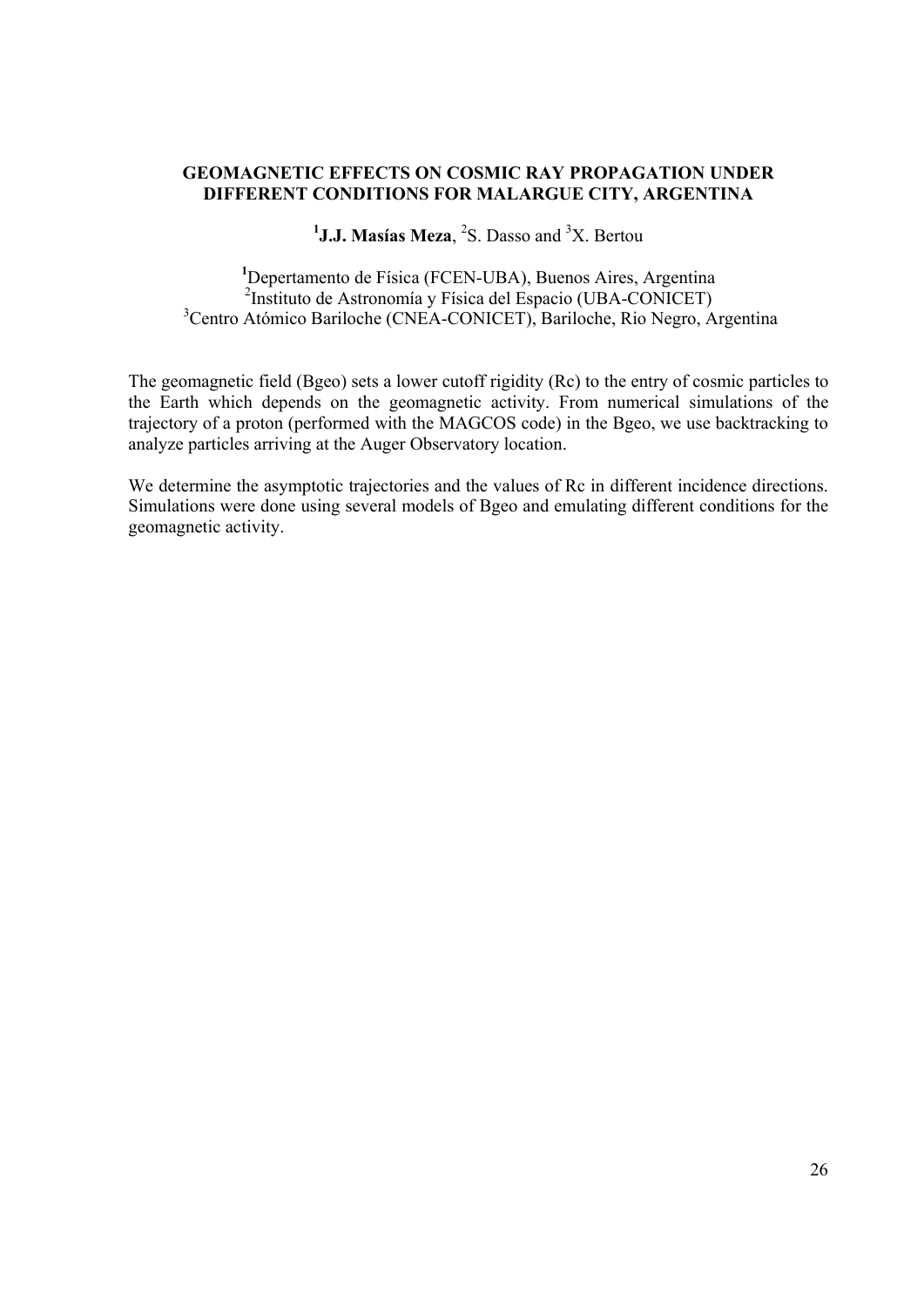# **GEOMAGNETIC EFFECTS ON COSMIC RAY PROPAGATION UNDER DIFFERENT CONDITIONS FOR MALARGUE CITY, ARGENTINA**

# <sup>1</sup>J.J. Masías Meza, <sup>2</sup>S. Dasso and <sup>3</sup>X. Bertou

**1** Depertamento de Física (FCEN-UBA), Buenos Aires, Argentina 2 Instituto de Astronomía y Física del Espacio (UBA-CONICET) 3 Centro Atómico Bariloche (CNEA-CONICET), Bariloche, Rio Negro, Argentina

The geomagnetic field (Bgeo) sets a lower cutoff rigidity (Rc) to the entry of cosmic particles to the Earth which depends on the geomagnetic activity. From numerical simulations of the trajectory of a proton (performed with the MAGCOS code) in the Bgeo, we use backtracking to analyze particles arriving at the Auger Observatory location.

We determine the asymptotic trajectories and the values of Rc in different incidence directions. Simulations were done using several models of Bgeo and emulating different conditions for the geomagnetic activity.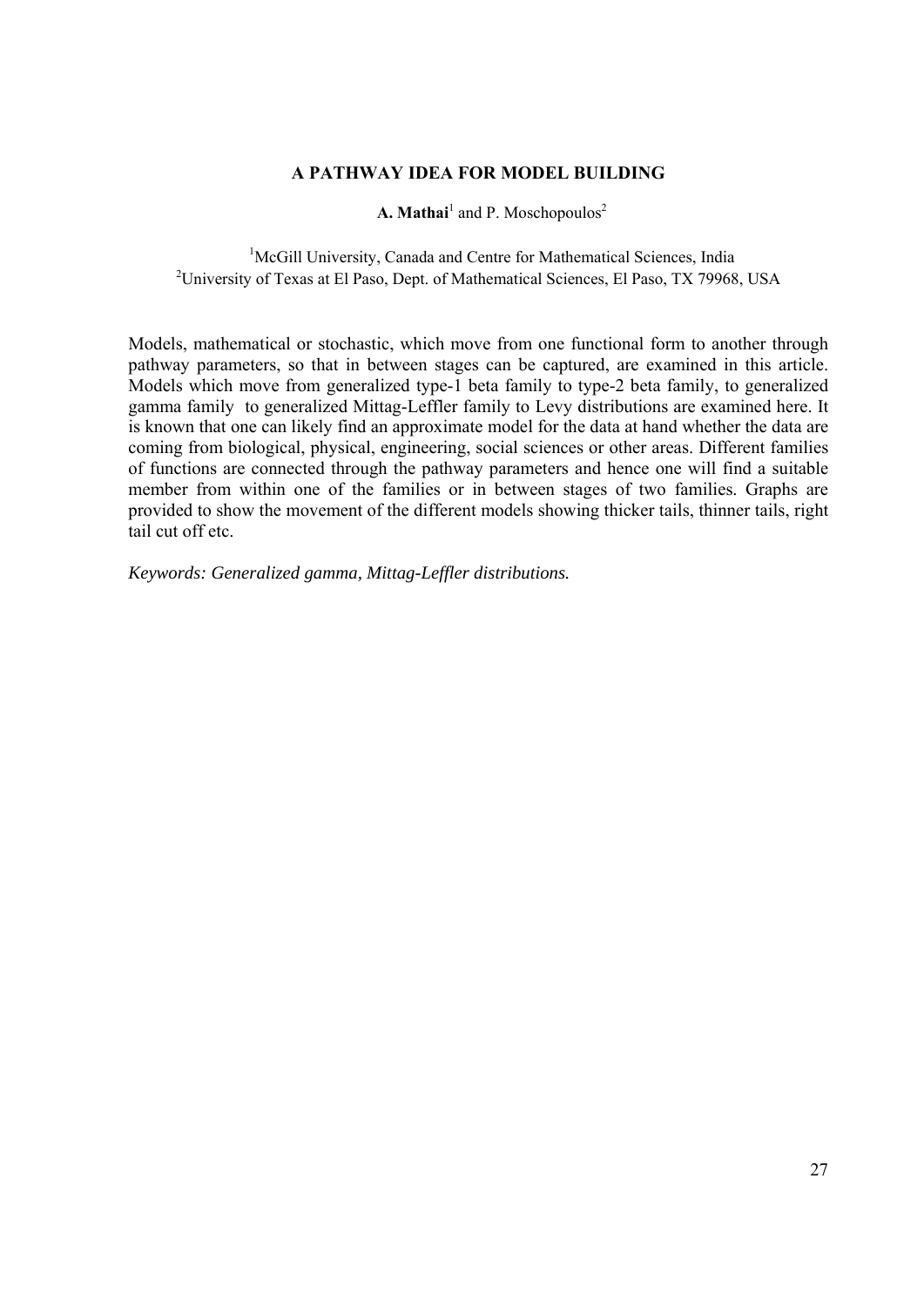# **A PATHWAY IDEA FOR MODEL BUILDING**

**A. Mathai**<sup>1</sup> and P. Moschopoulos<sup>2</sup>

<sup>1</sup>McGill University, Canada and Centre for Mathematical Sciences, India <sup>2</sup>University of Texas at El Paso, Dept. of Mathematical Sciences, El Paso, TX 79968, USA

Models, mathematical or stochastic, which move from one functional form to another through pathway parameters, so that in between stages can be captured, are examined in this article. Models which move from generalized type-1 beta family to type-2 beta family, to generalized gamma family to generalized Mittag-Leffler family to Levy distributions are examined here. It is known that one can likely find an approximate model for the data at hand whether the data are coming from biological, physical, engineering, social sciences or other areas. Different families of functions are connected through the pathway parameters and hence one will find a suitable member from within one of the families or in between stages of two families. Graphs are provided to show the movement of the different models showing thicker tails, thinner tails, right tail cut off etc.

*Keywords: Generalized gamma, Mittag-Leffler distributions.*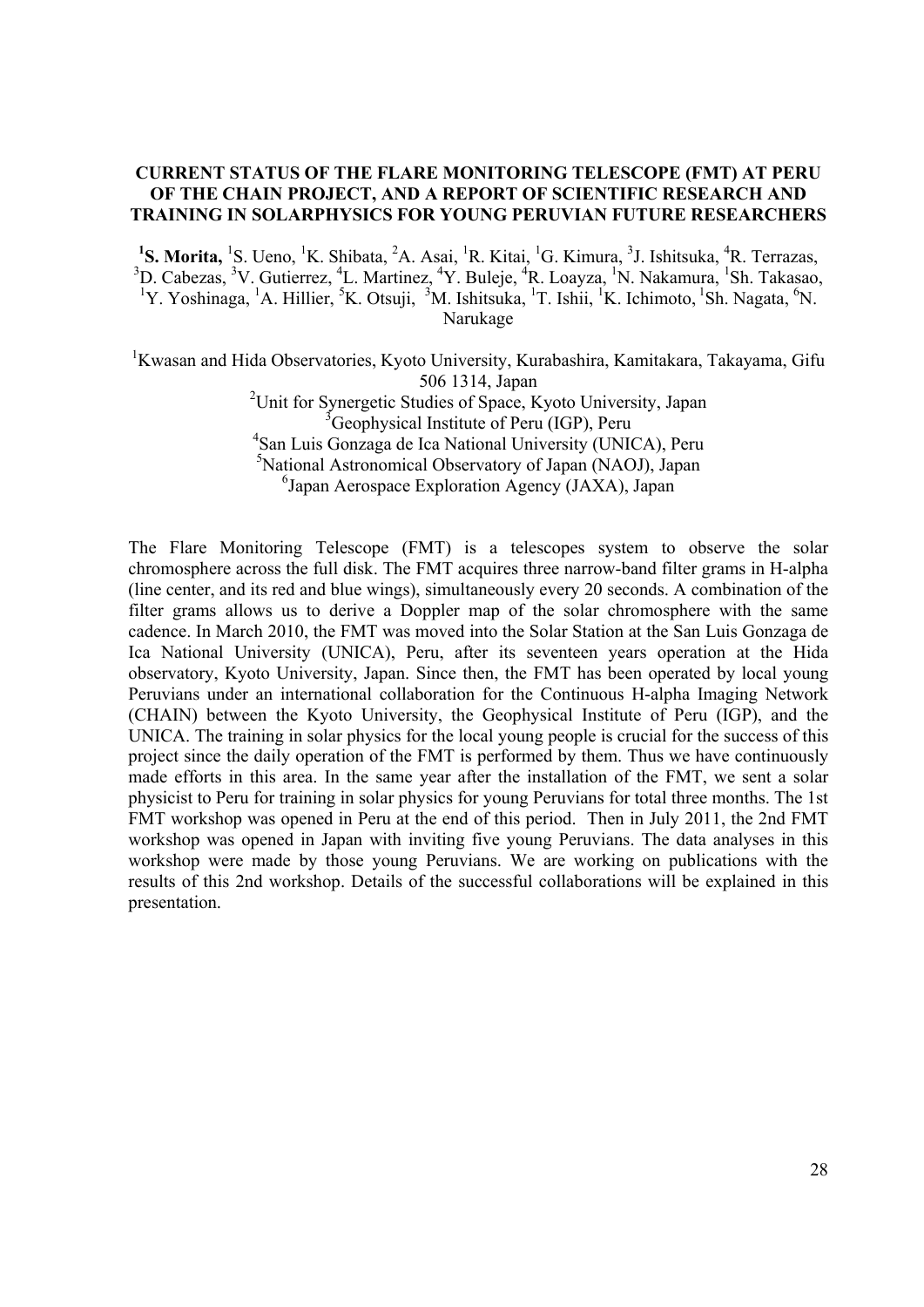## **CURRENT STATUS OF THE FLARE MONITORING TELESCOPE (FMT) AT PERU OF THE CHAIN PROJECT, AND A REPORT OF SCIENTIFIC RESEARCH AND TRAINING IN SOLARPHYSICS FOR YOUNG PERUVIAN FUTURE RESEARCHERS**

<sup>1</sup>S. Morita, <sup>1</sup>S. Ueno, <sup>1</sup>K. Shibata, <sup>2</sup>A. Asai, <sup>1</sup>R. Kitai, <sup>1</sup>G. Kimura, <sup>3</sup>J. Ishitsuka, <sup>4</sup>R. Terrazas, <sup>3</sup>D. Cabezas, <sup>3</sup>V. Gutierrez, <sup>4</sup>L. Martinez, <sup>4</sup>Y. Buleje, <sup>4</sup>R. Loayza, <sup>1</sup>N. Nakamura, <sup>1</sup>Sh. Takasao, <sup>1</sup>Y. Yoshinaga, <sup>1</sup>A. Hillier, <sup>5</sup>K. Otsuji, <sup>3</sup>M. Ishitsuka, <sup>1</sup>T. Ishii, <sup>1</sup>K. Ichimoto, <sup>1</sup>Sh. Nagata, <sup>6</sup>N. Narukage

<sup>1</sup>Kwasan and Hida Observatories, Kyoto University, Kurabashira, Kamitakara, Takayama, Gifu 506 1314, Japan <sup>2</sup>Unit for Synergetic Studies of Space, Kyoto University, Japan <sup>3</sup> Geophysical Institute of Peru (IGP), Peru 4 San Luis Gonzaga de Ica National University (UNICA), Peru 5 National Astronomical Observatory of Japan (NAOJ), Japan 6 Japan Aerospace Exploration Agency (JAXA), Japan

The Flare Monitoring Telescope (FMT) is a telescopes system to observe the solar chromosphere across the full disk. The FMT acquires three narrow-band filter grams in H-alpha (line center, and its red and blue wings), simultaneously every 20 seconds. A combination of the filter grams allows us to derive a Doppler map of the solar chromosphere with the same cadence. In March 2010, the FMT was moved into the Solar Station at the San Luis Gonzaga de Ica National University (UNICA), Peru, after its seventeen years operation at the Hida observatory, Kyoto University, Japan. Since then, the FMT has been operated by local young Peruvians under an international collaboration for the Continuous H-alpha Imaging Network (CHAIN) between the Kyoto University, the Geophysical Institute of Peru (IGP), and the UNICA. The training in solar physics for the local young people is crucial for the success of this project since the daily operation of the FMT is performed by them. Thus we have continuously made efforts in this area. In the same year after the installation of the FMT, we sent a solar physicist to Peru for training in solar physics for young Peruvians for total three months. The 1st FMT workshop was opened in Peru at the end of this period. Then in July 2011, the 2nd FMT workshop was opened in Japan with inviting five young Peruvians. The data analyses in this workshop were made by those young Peruvians. We are working on publications with the results of this 2nd workshop. Details of the successful collaborations will be explained in this presentation.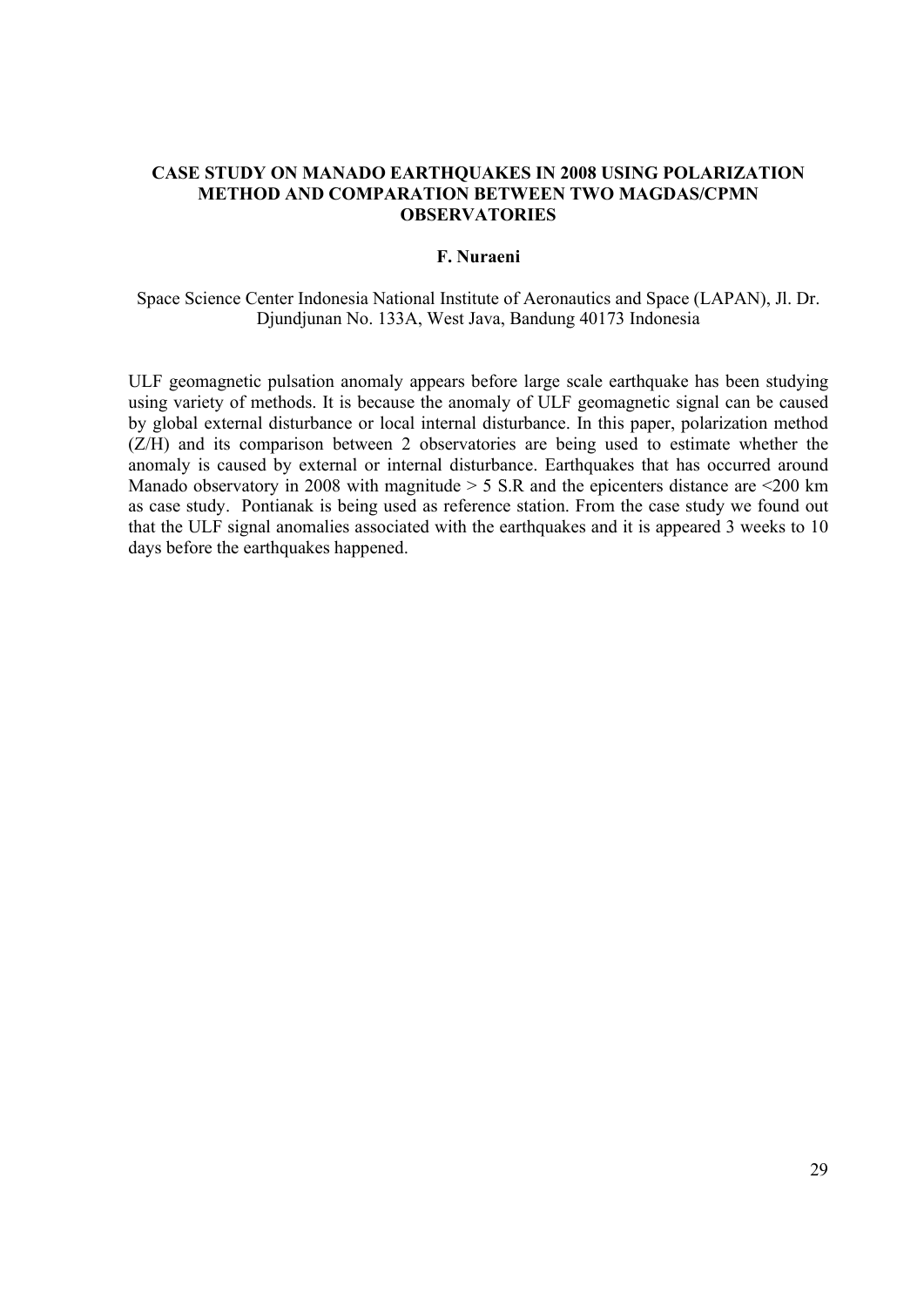## **CASE STUDY ON MANADO EARTHQUAKES IN 2008 USING POLARIZATION METHOD AND COMPARATION BETWEEN TWO MAGDAS/CPMN OBSERVATORIES**

## **F. Nuraeni**

Space Science Center Indonesia National Institute of Aeronautics and Space (LAPAN), Jl. Dr. Djundjunan No. 133A, West Java, Bandung 40173 Indonesia

ULF geomagnetic pulsation anomaly appears before large scale earthquake has been studying using variety of methods. It is because the anomaly of ULF geomagnetic signal can be caused by global external disturbance or local internal disturbance. In this paper, polarization method (Z/H) and its comparison between 2 observatories are being used to estimate whether the anomaly is caused by external or internal disturbance. Earthquakes that has occurred around Manado observatory in 2008 with magnitude  $> 5$  S.R and the epicenters distance are  $\leq 200$  km as case study. Pontianak is being used as reference station. From the case study we found out that the ULF signal anomalies associated with the earthquakes and it is appeared 3 weeks to 10 days before the earthquakes happened.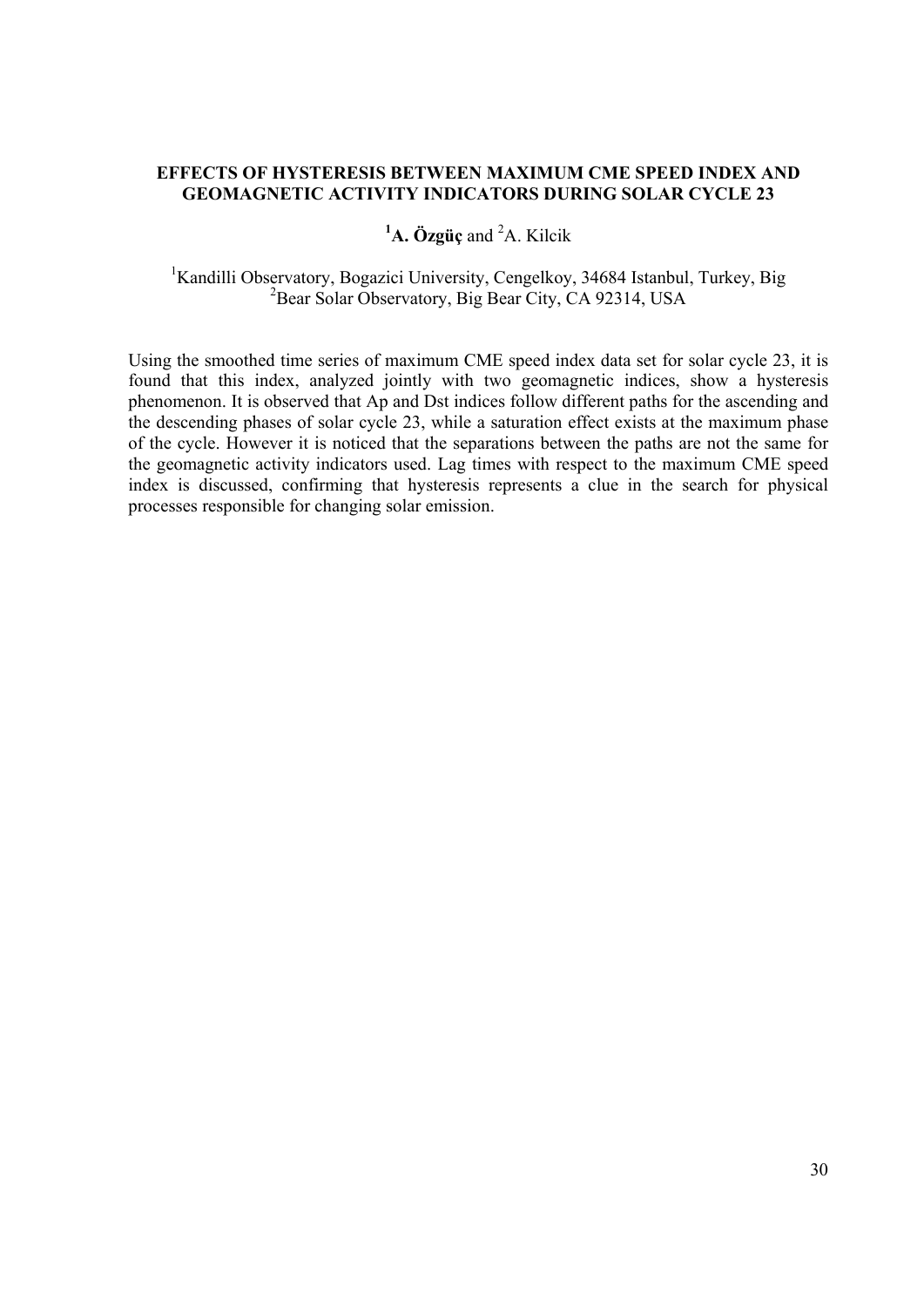## **EFFECTS OF HYSTERESIS BETWEEN MAXIMUM CME SPEED INDEX AND GEOMAGNETIC ACTIVITY INDICATORS DURING SOLAR CYCLE 23**

# <sup>1</sup>**A.** Özgüç and <sup>2</sup>A. Kilcik

<sup>1</sup>Kandilli Observatory, Bogazici University, Cengelkoy, 34684 Istanbul, Turkey, Big <sup>2</sup>Bear Solar Observatory, Big Bear City, CA 92314, USA

Using the smoothed time series of maximum CME speed index data set for solar cycle 23, it is found that this index, analyzed jointly with two geomagnetic indices, show a hysteresis phenomenon. It is observed that Ap and Dst indices follow different paths for the ascending and the descending phases of solar cycle 23, while a saturation effect exists at the maximum phase of the cycle. However it is noticed that the separations between the paths are not the same for the geomagnetic activity indicators used. Lag times with respect to the maximum CME speed index is discussed, confirming that hysteresis represents a clue in the search for physical processes responsible for changing solar emission.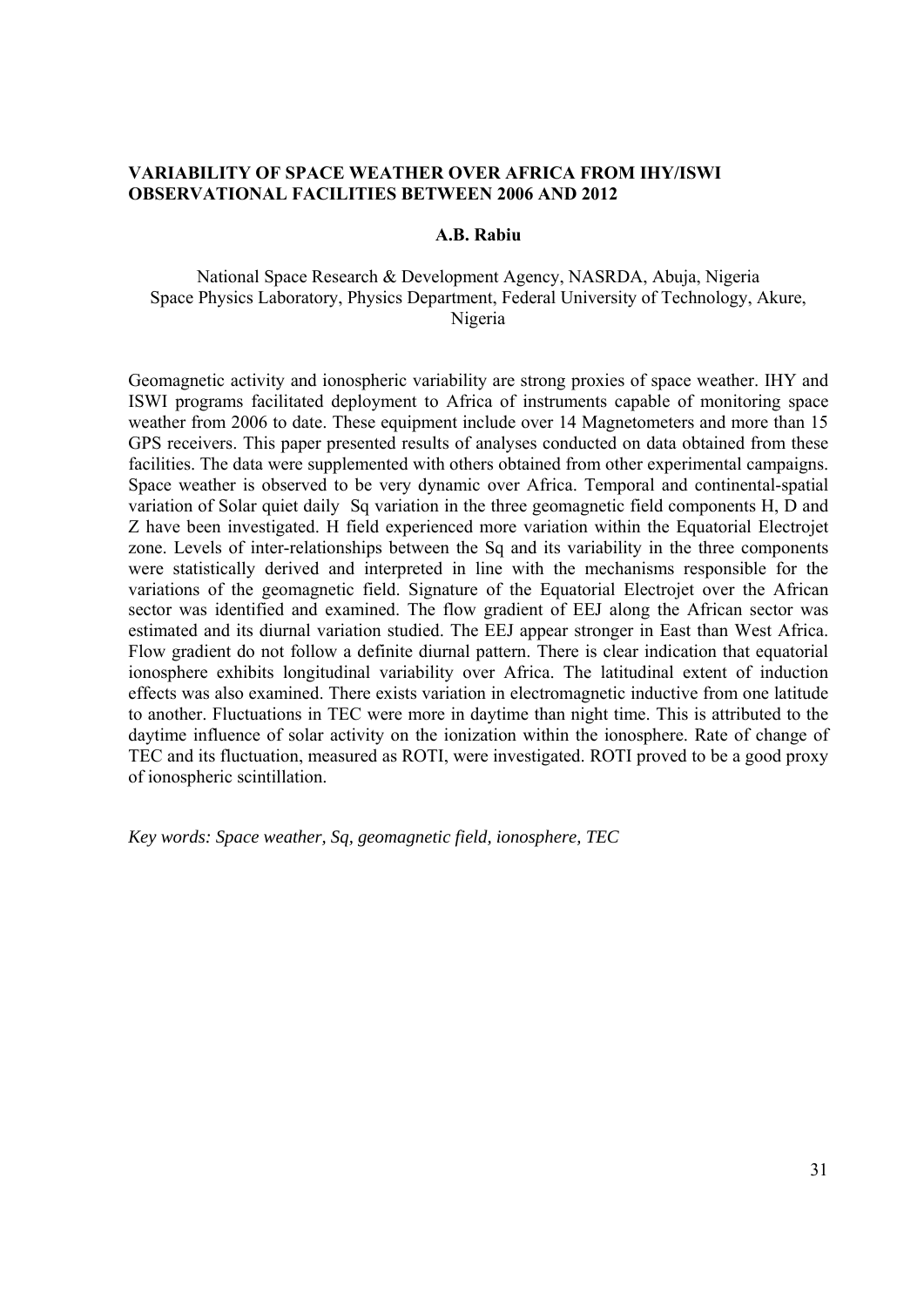## **VARIABILITY OF SPACE WEATHER OVER AFRICA FROM IHY/ISWI OBSERVATIONAL FACILITIES BETWEEN 2006 AND 2012**

#### **A.B. Rabiu**

## National Space Research & Development Agency, NASRDA, Abuja, Nigeria Space Physics Laboratory, Physics Department, Federal University of Technology, Akure, Nigeria

Geomagnetic activity and ionospheric variability are strong proxies of space weather. IHY and ISWI programs facilitated deployment to Africa of instruments capable of monitoring space weather from 2006 to date. These equipment include over 14 Magnetometers and more than 15 GPS receivers. This paper presented results of analyses conducted on data obtained from these facilities. The data were supplemented with others obtained from other experimental campaigns. Space weather is observed to be very dynamic over Africa. Temporal and continental-spatial variation of Solar quiet daily Sq variation in the three geomagnetic field components H, D and Z have been investigated. H field experienced more variation within the Equatorial Electrojet zone. Levels of inter-relationships between the Sq and its variability in the three components were statistically derived and interpreted in line with the mechanisms responsible for the variations of the geomagnetic field. Signature of the Equatorial Electrojet over the African sector was identified and examined. The flow gradient of EEJ along the African sector was estimated and its diurnal variation studied. The EEJ appear stronger in East than West Africa. Flow gradient do not follow a definite diurnal pattern. There is clear indication that equatorial ionosphere exhibits longitudinal variability over Africa. The latitudinal extent of induction effects was also examined. There exists variation in electromagnetic inductive from one latitude to another. Fluctuations in TEC were more in daytime than night time. This is attributed to the daytime influence of solar activity on the ionization within the ionosphere. Rate of change of TEC and its fluctuation, measured as ROTI, were investigated. ROTI proved to be a good proxy of ionospheric scintillation.

*Key words: Space weather, Sq, geomagnetic field, ionosphere, TEC*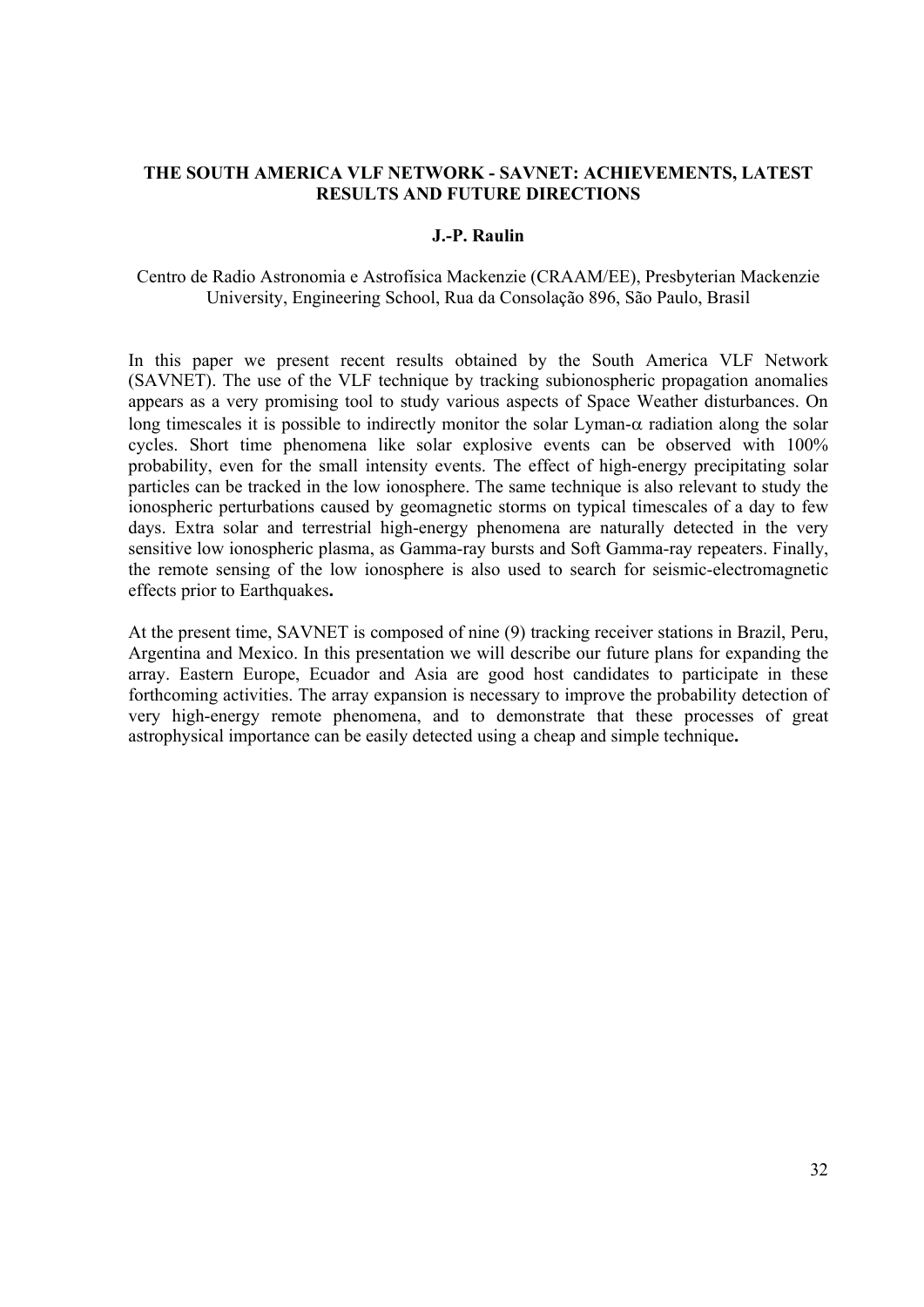## **THE SOUTH AMERICA VLF NETWORK - SAVNET: ACHIEVEMENTS, LATEST RESULTS AND FUTURE DIRECTIONS**

#### **J.-P. Raulin**

Centro de Radio Astronomia e Astrofísica Mackenzie (CRAAM/EE), Presbyterian Mackenzie University, Engineering School, Rua da Consolação 896, São Paulo, Brasil

In this paper we present recent results obtained by the South America VLF Network (SAVNET). The use of the VLF technique by tracking subionospheric propagation anomalies appears as a very promising tool to study various aspects of Space Weather disturbances. On long timescales it is possible to indirectly monitor the solar Lyman- $\alpha$  radiation along the solar cycles. Short time phenomena like solar explosive events can be observed with 100% probability, even for the small intensity events. The effect of high-energy precipitating solar particles can be tracked in the low ionosphere. The same technique is also relevant to study the ionospheric perturbations caused by geomagnetic storms on typical timescales of a day to few days. Extra solar and terrestrial high-energy phenomena are naturally detected in the very sensitive low ionospheric plasma, as Gamma-ray bursts and Soft Gamma-ray repeaters. Finally, the remote sensing of the low ionosphere is also used to search for seismic-electromagnetic effects prior to Earthquakes**.** 

At the present time, SAVNET is composed of nine (9) tracking receiver stations in Brazil, Peru, Argentina and Mexico. In this presentation we will describe our future plans for expanding the array. Eastern Europe, Ecuador and Asia are good host candidates to participate in these forthcoming activities. The array expansion is necessary to improve the probability detection of very high-energy remote phenomena, and to demonstrate that these processes of great astrophysical importance can be easily detected using a cheap and simple technique**.**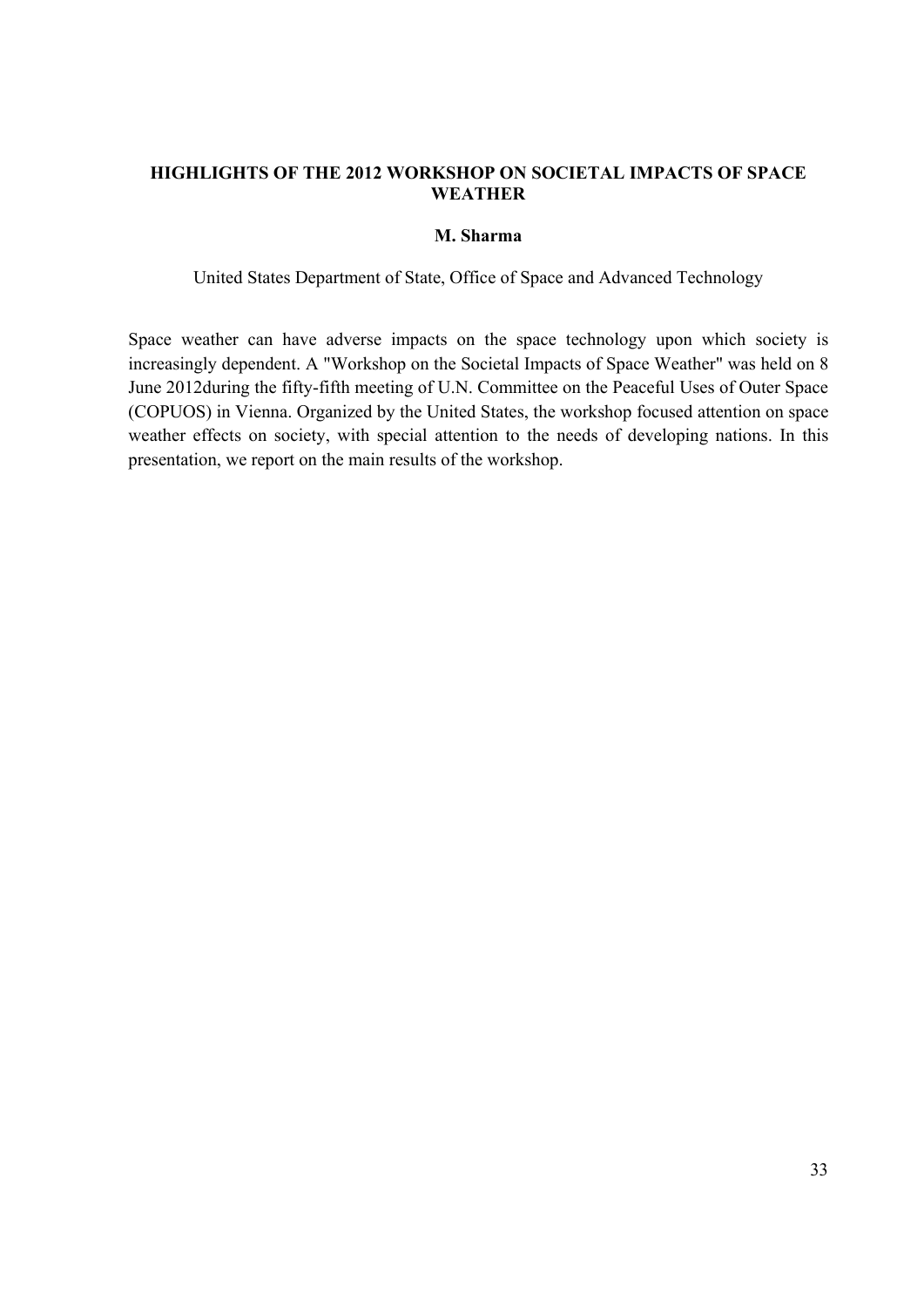# **HIGHLIGHTS OF THE 2012 WORKSHOP ON SOCIETAL IMPACTS OF SPACE WEATHER**

## **M. Sharma**

United States Department of State, Office of Space and Advanced Technology

Space weather can have adverse impacts on the space technology upon which society is increasingly dependent. A "Workshop on the Societal Impacts of Space Weather" was held on 8 June 2012during the fifty-fifth meeting of U.N. Committee on the Peaceful Uses of Outer Space (COPUOS) in Vienna. Organized by the United States, the workshop focused attention on space weather effects on society, with special attention to the needs of developing nations. In this presentation, we report on the main results of the workshop.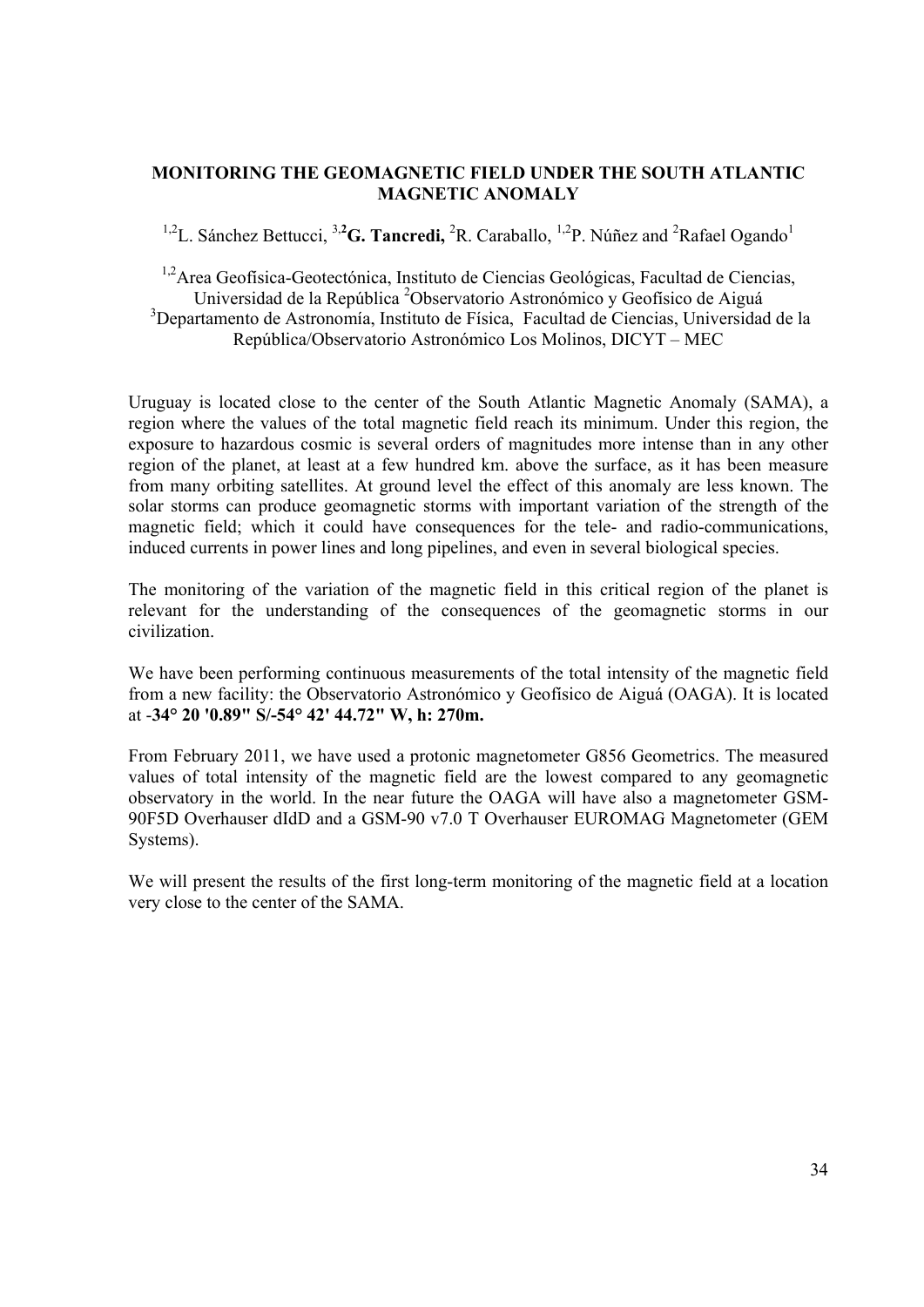## **MONITORING THE GEOMAGNETIC FIELD UNDER THE SOUTH ATLANTIC MAGNETIC ANOMALY**

<sup>1,2</sup>L. Sánchez Bettucci, <sup>3,2</sup>G. Tancredi, <sup>2</sup>R. Caraballo, <sup>1,2</sup>P. Núñez and <sup>2</sup>Rafael Ogando<sup>1</sup>

<sup>1,2</sup>Area Geofísica-Geotectónica, Instituto de Ciencias Geológicas, Facultad de Ciencias, Universidad de la República <sup>2</sup>Observatorio Astronómico y Geofísico de Aiguá <sup>3</sup>Departamento de Astronomía, Instituto de Física, Facultad de Ciencias, Universidad de la República/Observatorio Astronómico Los Molinos, DICYT – MEC

Uruguay is located close to the center of the South Atlantic Magnetic Anomaly (SAMA), a region where the values of the total magnetic field reach its minimum. Under this region, the exposure to hazardous cosmic is several orders of magnitudes more intense than in any other region of the planet, at least at a few hundred km. above the surface, as it has been measure from many orbiting satellites. At ground level the effect of this anomaly are less known. The solar storms can produce geomagnetic storms with important variation of the strength of the magnetic field; which it could have consequences for the tele- and radio-communications, induced currents in power lines and long pipelines, and even in several biological species.

The monitoring of the variation of the magnetic field in this critical region of the planet is relevant for the understanding of the consequences of the geomagnetic storms in our civilization.

We have been performing continuous measurements of the total intensity of the magnetic field from a new facility: the Observatorio Astronómico y Geofísico de Aiguá (OAGA). It is located at -**34° 20 '0.89" S/-54° 42' 44.72" W, h: 270m.**

From February 2011, we have used a protonic magnetometer G856 Geometrics. The measured values of total intensity of the magnetic field are the lowest compared to any geomagnetic observatory in the world. In the near future the OAGA will have also a magnetometer GSM-90F5D Overhauser dIdD and a GSM-90 v7.0 T Overhauser EUROMAG Magnetometer (GEM Systems).

We will present the results of the first long-term monitoring of the magnetic field at a location very close to the center of the SAMA.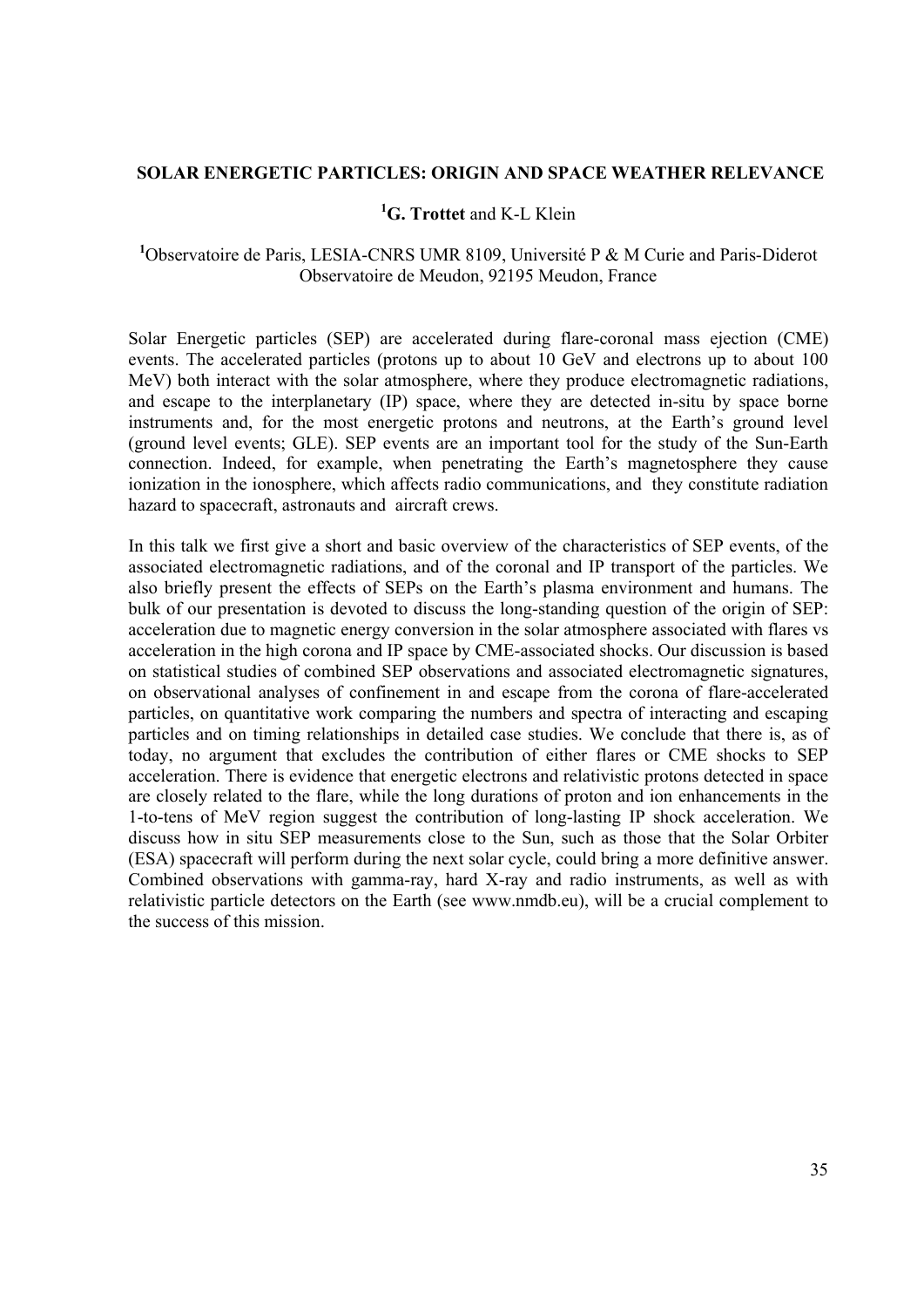## **SOLAR ENERGETIC PARTICLES: ORIGIN AND SPACE WEATHER RELEVANCE**

# **1 G. Trottet** and K-L Klein

<sup>1</sup>Observatoire de Paris, LESIA-CNRS UMR 8109, Université P & M Curie and Paris-Diderot Observatoire de Meudon, 92195 Meudon, France

Solar Energetic particles (SEP) are accelerated during flare-coronal mass ejection (CME) events. The accelerated particles (protons up to about 10 GeV and electrons up to about 100 MeV) both interact with the solar atmosphere, where they produce electromagnetic radiations, and escape to the interplanetary (IP) space, where they are detected in-situ by space borne instruments and, for the most energetic protons and neutrons, at the Earth's ground level (ground level events; GLE). SEP events are an important tool for the study of the Sun-Earth connection. Indeed, for example, when penetrating the Earth's magnetosphere they cause ionization in the ionosphere, which affects radio communications, and they constitute radiation hazard to spacecraft, astronauts and aircraft crews.

In this talk we first give a short and basic overview of the characteristics of SEP events, of the associated electromagnetic radiations, and of the coronal and IP transport of the particles. We also briefly present the effects of SEPs on the Earth's plasma environment and humans. The bulk of our presentation is devoted to discuss the long-standing question of the origin of SEP: acceleration due to magnetic energy conversion in the solar atmosphere associated with flares vs acceleration in the high corona and IP space by CME-associated shocks. Our discussion is based on statistical studies of combined SEP observations and associated electromagnetic signatures, on observational analyses of confinement in and escape from the corona of flare-accelerated particles, on quantitative work comparing the numbers and spectra of interacting and escaping particles and on timing relationships in detailed case studies. We conclude that there is, as of today, no argument that excludes the contribution of either flares or CME shocks to SEP acceleration. There is evidence that energetic electrons and relativistic protons detected in space are closely related to the flare, while the long durations of proton and ion enhancements in the 1-to-tens of MeV region suggest the contribution of long-lasting IP shock acceleration. We discuss how in situ SEP measurements close to the Sun, such as those that the Solar Orbiter (ESA) spacecraft will perform during the next solar cycle, could bring a more definitive answer. Combined observations with gamma-ray, hard X-ray and radio instruments, as well as with relativistic particle detectors on the Earth (see www.nmdb.eu), will be a crucial complement to the success of this mission.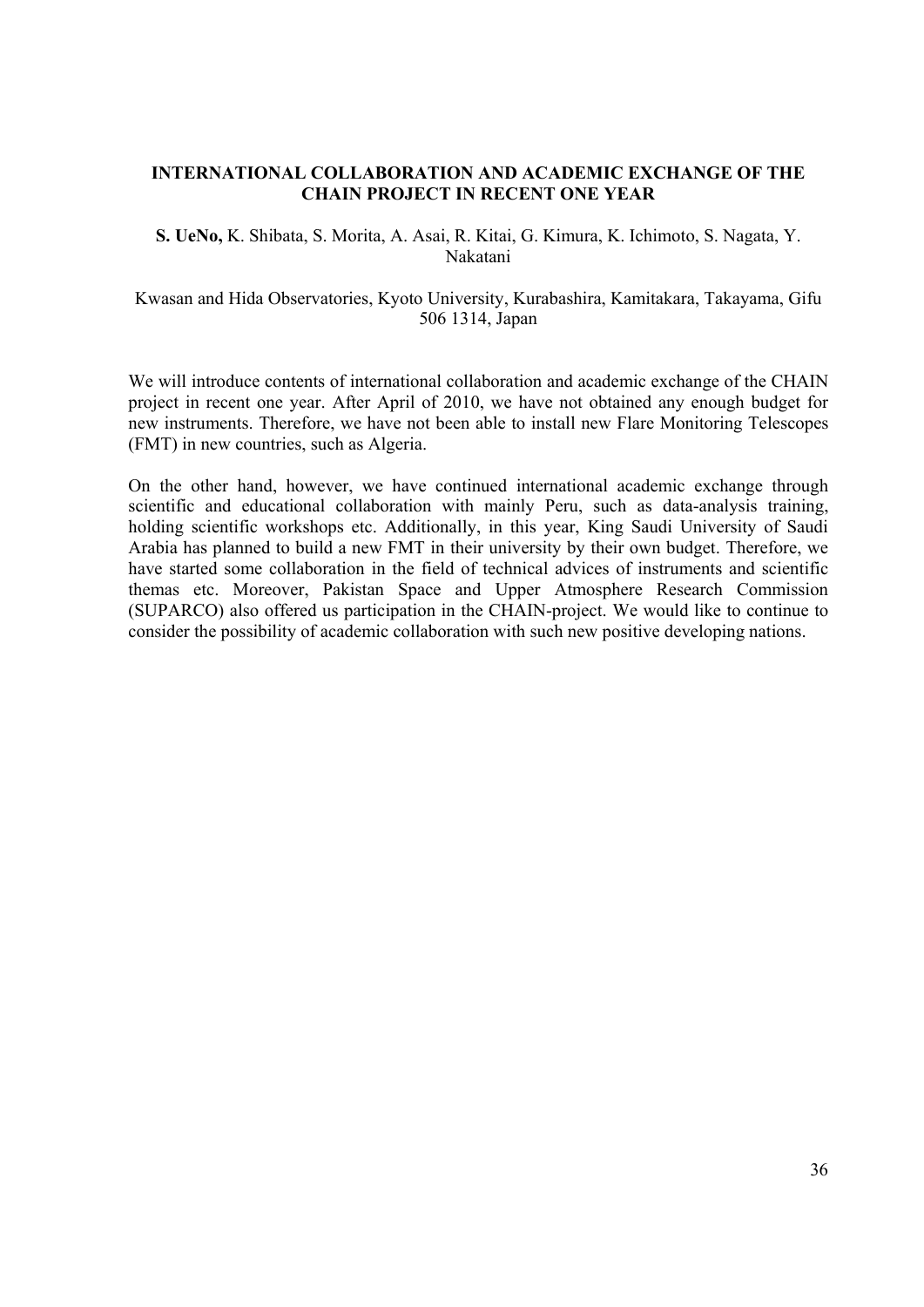## **INTERNATIONAL COLLABORATION AND ACADEMIC EXCHANGE OF THE CHAIN PROJECT IN RECENT ONE YEAR**

**S. UeNo,** K. Shibata, S. Morita, A. Asai, R. Kitai, G. Kimura, K. Ichimoto, S. Nagata, Y. Nakatani

Kwasan and Hida Observatories, Kyoto University, Kurabashira, Kamitakara, Takayama, Gifu 506 1314, Japan

We will introduce contents of international collaboration and academic exchange of the CHAIN project in recent one year. After April of 2010, we have not obtained any enough budget for new instruments. Therefore, we have not been able to install new Flare Monitoring Telescopes (FMT) in new countries, such as Algeria.

On the other hand, however, we have continued international academic exchange through scientific and educational collaboration with mainly Peru, such as data-analysis training, holding scientific workshops etc. Additionally, in this year, King Saudi University of Saudi Arabia has planned to build a new FMT in their university by their own budget. Therefore, we have started some collaboration in the field of technical advices of instruments and scientific themas etc. Moreover, Pakistan Space and Upper Atmosphere Research Commission (SUPARCO) also offered us participation in the CHAIN-project. We would like to continue to consider the possibility of academic collaboration with such new positive developing nations.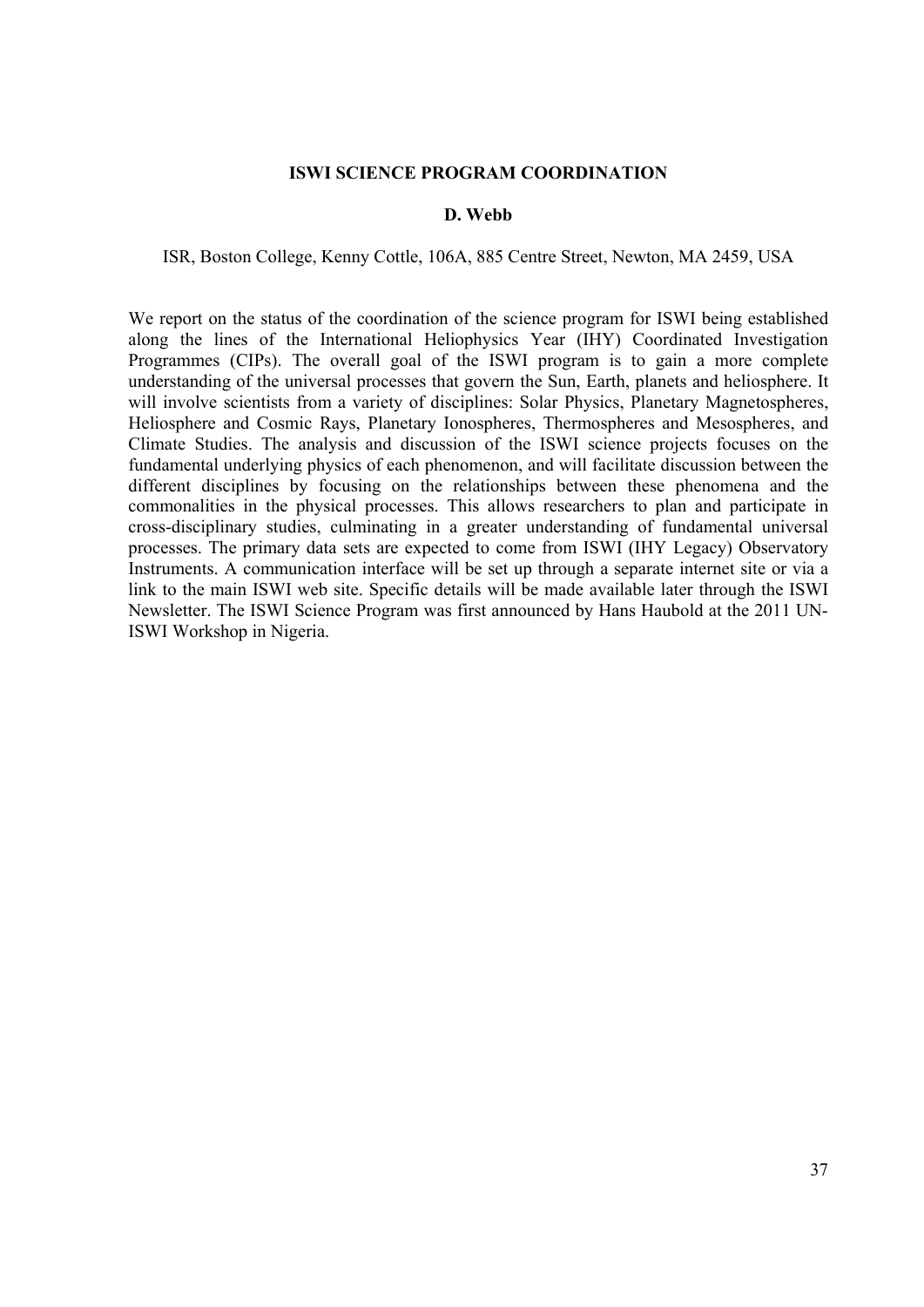#### **ISWI SCIENCE PROGRAM COORDINATION**

## **D. Webb**

#### ISR, Boston College, Kenny Cottle, 106A, 885 Centre Street, Newton, MA 2459, USA

We report on the status of the coordination of the science program for ISWI being established along the lines of the International Heliophysics Year (IHY) Coordinated Investigation Programmes (CIPs). The overall goal of the ISWI program is to gain a more complete understanding of the universal processes that govern the Sun, Earth, planets and heliosphere. It will involve scientists from a variety of disciplines: Solar Physics, Planetary Magnetospheres, Heliosphere and Cosmic Rays, Planetary Ionospheres, Thermospheres and Mesospheres, and Climate Studies. The analysis and discussion of the ISWI science projects focuses on the fundamental underlying physics of each phenomenon, and will facilitate discussion between the different disciplines by focusing on the relationships between these phenomena and the commonalities in the physical processes. This allows researchers to plan and participate in cross-disciplinary studies, culminating in a greater understanding of fundamental universal processes. The primary data sets are expected to come from ISWI (IHY Legacy) Observatory Instruments. A communication interface will be set up through a separate internet site or via a link to the main ISWI web site. Specific details will be made available later through the ISWI Newsletter. The ISWI Science Program was first announced by Hans Haubold at the 2011 UN-ISWI Workshop in Nigeria.